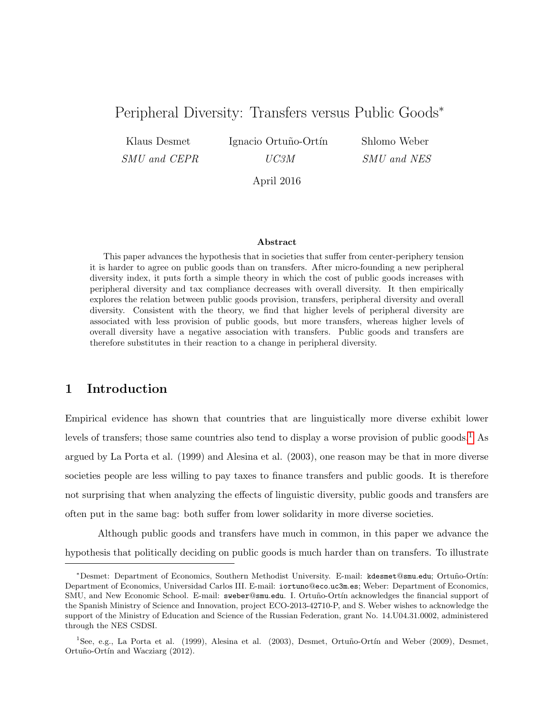# Peripheral Diversity: Transfers versus Public Goods<sup>∗</sup>

Klaus Desmet

SMU and CEPR

Ignacio Ortuño-Ortín UC3M

Shlomo Weber SMU and NES

April 2016

#### Abstract

This paper advances the hypothesis that in societies that suffer from center-periphery tension it is harder to agree on public goods than on transfers. After micro-founding a new peripheral diversity index, it puts forth a simple theory in which the cost of public goods increases with peripheral diversity and tax compliance decreases with overall diversity. It then empirically explores the relation between public goods provision, transfers, peripheral diversity and overall diversity. Consistent with the theory, we find that higher levels of peripheral diversity are associated with less provision of public goods, but more transfers, whereas higher levels of overall diversity have a negative association with transfers. Public goods and transfers are therefore substitutes in their reaction to a change in peripheral diversity.

## 1 Introduction

Empirical evidence has shown that countries that are linguistically more diverse exhibit lower levels of transfers; those same countries also tend to display a worse provision of public goods.<sup>[1](#page-0-0)</sup> As argued by La Porta et al. (1999) and Alesina et al. (2003), one reason may be that in more diverse societies people are less willing to pay taxes to finance transfers and public goods. It is therefore not surprising that when analyzing the effects of linguistic diversity, public goods and transfers are often put in the same bag: both suffer from lower solidarity in more diverse societies.

Although public goods and transfers have much in common, in this paper we advance the hypothesis that politically deciding on public goods is much harder than on transfers. To illustrate

<sup>\*</sup>Desmet: Department of Economics, Southern Methodist University. E-mail: kdesmet@smu.edu; Ortuño-Ortín: Department of Economics, Universidad Carlos III. E-mail: iortuno@eco.uc3m.es; Weber: Department of Economics, SMU, and New Economic School. E-mail: sweber@smu.edu. I. Ortuño-Ortín acknowledges the financial support of the Spanish Ministry of Science and Innovation, project ECO-2013-42710-P, and S. Weber wishes to acknowledge the support of the Ministry of Education and Science of the Russian Federation, grant No. 14.U04.31.0002, administered through the NES CSDSI.

<span id="page-0-0"></span><sup>&</sup>lt;sup>1</sup>See, e.g., La Porta et al. (1999), Alesina et al. (2003), Desmet, Ortuño-Ortín and Weber (2009), Desmet, Ortuño-Ortín and Wacziarg (2012).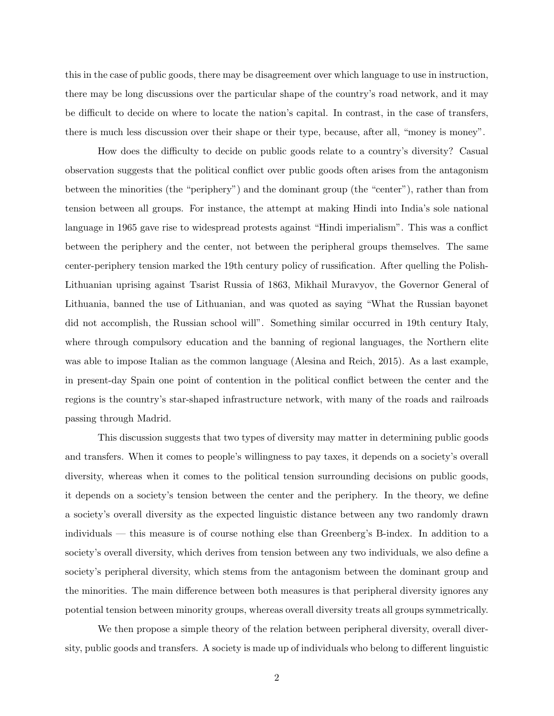this in the case of public goods, there may be disagreement over which language to use in instruction, there may be long discussions over the particular shape of the country's road network, and it may be difficult to decide on where to locate the nation's capital. In contrast, in the case of transfers, there is much less discussion over their shape or their type, because, after all, "money is money".

How does the difficulty to decide on public goods relate to a country's diversity? Casual observation suggests that the political conflict over public goods often arises from the antagonism between the minorities (the "periphery") and the dominant group (the "center"), rather than from tension between all groups. For instance, the attempt at making Hindi into India's sole national language in 1965 gave rise to widespread protests against "Hindi imperialism". This was a conflict between the periphery and the center, not between the peripheral groups themselves. The same center-periphery tension marked the 19th century policy of russification. After quelling the Polish-Lithuanian uprising against Tsarist Russia of 1863, Mikhail Muravyov, the Governor General of Lithuania, banned the use of Lithuanian, and was quoted as saying "What the Russian bayonet did not accomplish, the Russian school will". Something similar occurred in 19th century Italy, where through compulsory education and the banning of regional languages, the Northern elite was able to impose Italian as the common language (Alesina and Reich, 2015). As a last example, in present-day Spain one point of contention in the political conflict between the center and the regions is the country's star-shaped infrastructure network, with many of the roads and railroads passing through Madrid.

This discussion suggests that two types of diversity may matter in determining public goods and transfers. When it comes to people's willingness to pay taxes, it depends on a society's overall diversity, whereas when it comes to the political tension surrounding decisions on public goods, it depends on a society's tension between the center and the periphery. In the theory, we define a society's overall diversity as the expected linguistic distance between any two randomly drawn individuals — this measure is of course nothing else than Greenberg's B-index. In addition to a society's overall diversity, which derives from tension between any two individuals, we also define a society's peripheral diversity, which stems from the antagonism between the dominant group and the minorities. The main difference between both measures is that peripheral diversity ignores any potential tension between minority groups, whereas overall diversity treats all groups symmetrically.

We then propose a simple theory of the relation between peripheral diversity, overall diversity, public goods and transfers. A society is made up of individuals who belong to different linguistic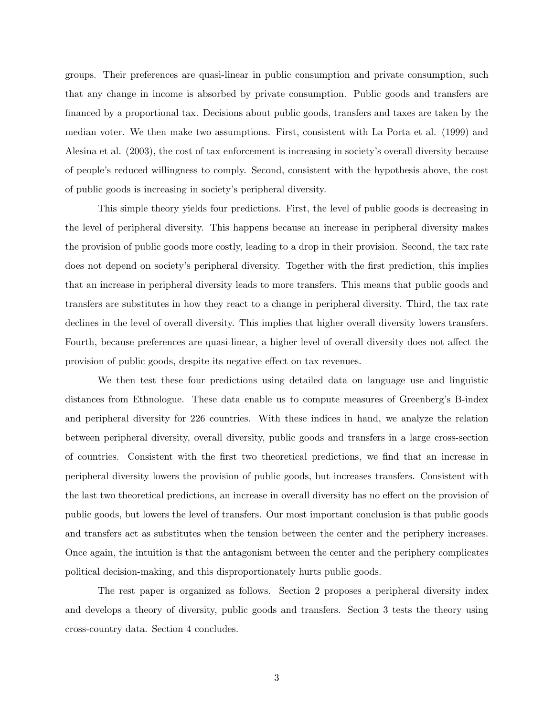groups. Their preferences are quasi-linear in public consumption and private consumption, such that any change in income is absorbed by private consumption. Public goods and transfers are financed by a proportional tax. Decisions about public goods, transfers and taxes are taken by the median voter. We then make two assumptions. First, consistent with La Porta et al. (1999) and Alesina et al. (2003), the cost of tax enforcement is increasing in society's overall diversity because of people's reduced willingness to comply. Second, consistent with the hypothesis above, the cost of public goods is increasing in society's peripheral diversity.

This simple theory yields four predictions. First, the level of public goods is decreasing in the level of peripheral diversity. This happens because an increase in peripheral diversity makes the provision of public goods more costly, leading to a drop in their provision. Second, the tax rate does not depend on society's peripheral diversity. Together with the first prediction, this implies that an increase in peripheral diversity leads to more transfers. This means that public goods and transfers are substitutes in how they react to a change in peripheral diversity. Third, the tax rate declines in the level of overall diversity. This implies that higher overall diversity lowers transfers. Fourth, because preferences are quasi-linear, a higher level of overall diversity does not affect the provision of public goods, despite its negative effect on tax revenues.

We then test these four predictions using detailed data on language use and linguistic distances from Ethnologue. These data enable us to compute measures of Greenberg's B-index and peripheral diversity for 226 countries. With these indices in hand, we analyze the relation between peripheral diversity, overall diversity, public goods and transfers in a large cross-section of countries. Consistent with the first two theoretical predictions, we find that an increase in peripheral diversity lowers the provision of public goods, but increases transfers. Consistent with the last two theoretical predictions, an increase in overall diversity has no effect on the provision of public goods, but lowers the level of transfers. Our most important conclusion is that public goods and transfers act as substitutes when the tension between the center and the periphery increases. Once again, the intuition is that the antagonism between the center and the periphery complicates political decision-making, and this disproportionately hurts public goods.

The rest paper is organized as follows. Section 2 proposes a peripheral diversity index and develops a theory of diversity, public goods and transfers. Section 3 tests the theory using cross-country data. Section 4 concludes.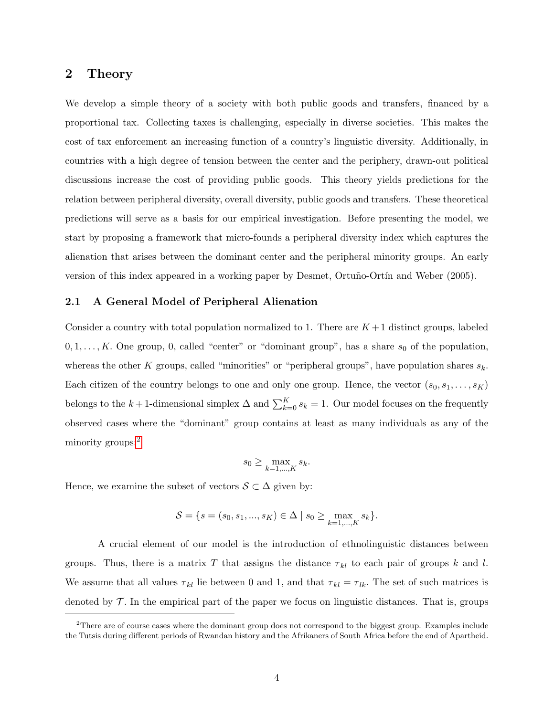### 2 Theory

We develop a simple theory of a society with both public goods and transfers, financed by a proportional tax. Collecting taxes is challenging, especially in diverse societies. This makes the cost of tax enforcement an increasing function of a country's linguistic diversity. Additionally, in countries with a high degree of tension between the center and the periphery, drawn-out political discussions increase the cost of providing public goods. This theory yields predictions for the relation between peripheral diversity, overall diversity, public goods and transfers. These theoretical predictions will serve as a basis for our empirical investigation. Before presenting the model, we start by proposing a framework that micro-founds a peripheral diversity index which captures the alienation that arises between the dominant center and the peripheral minority groups. An early version of this index appeared in a working paper by Desmet, Ortuño-Ortín and Weber (2005).

### 2.1 A General Model of Peripheral Alienation

Consider a country with total population normalized to 1. There are  $K+1$  distinct groups, labeled  $0, 1, \ldots, K$ . One group, 0, called "center" or "dominant group", has a share  $s_0$  of the population, whereas the other K groups, called "minorities" or "peripheral groups", have population shares  $s_k$ . Each citizen of the country belongs to one and only one group. Hence, the vector  $(s_0, s_1, \ldots, s_K)$ belongs to the  $k+1$ -dimensional simplex  $\Delta$  and  $\sum_{k=0}^{K} s_k = 1$ . Our model focuses on the frequently observed cases where the "dominant" group contains at least as many individuals as any of the minority groups:[2](#page-3-0)

$$
s_0 \ge \max_{k=1,\dots,K} s_k.
$$

Hence, we examine the subset of vectors  $S \subset \Delta$  given by:

$$
S = \{s = (s_0, s_1, ..., s_K) \in \Delta \mid s_0 \ge \max_{k=1,...,K} s_k\}.
$$

A crucial element of our model is the introduction of ethnolinguistic distances between groups. Thus, there is a matrix T that assigns the distance  $\tau_{kl}$  to each pair of groups k and l. We assume that all values  $\tau_{kl}$  lie between 0 and 1, and that  $\tau_{kl} = \tau_{lk}$ . The set of such matrices is denoted by  $\mathcal T$ . In the empirical part of the paper we focus on linguistic distances. That is, groups

<span id="page-3-0"></span><sup>&</sup>lt;sup>2</sup>There are of course cases where the dominant group does not correspond to the biggest group. Examples include the Tutsis during different periods of Rwandan history and the Afrikaners of South Africa before the end of Apartheid.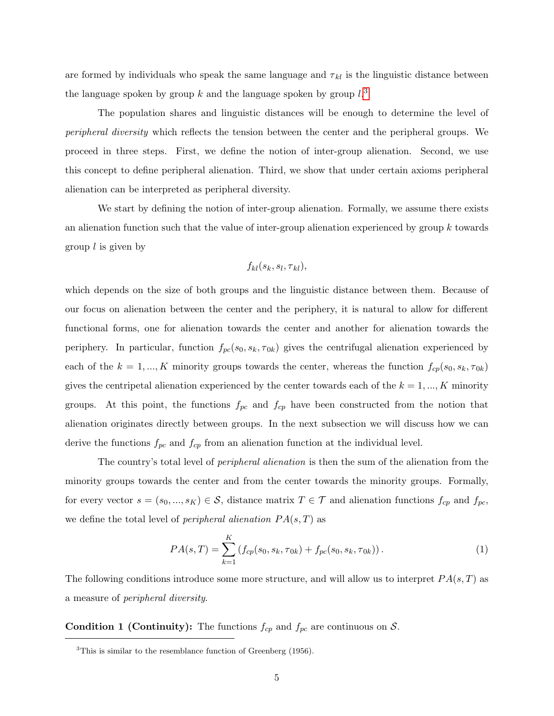are formed by individuals who speak the same language and  $\tau_{kl}$  is the linguistic distance between the language spoken by group k and the language spoken by group  $l^3$  $l^3$ .

The population shares and linguistic distances will be enough to determine the level of peripheral diversity which reflects the tension between the center and the peripheral groups. We proceed in three steps. First, we define the notion of inter-group alienation. Second, we use this concept to define peripheral alienation. Third, we show that under certain axioms peripheral alienation can be interpreted as peripheral diversity.

We start by defining the notion of inter-group alienation. Formally, we assume there exists an alienation function such that the value of inter-group alienation experienced by group k towards group  $l$  is given by

$$
f_{kl}(s_k, s_l, \tau_{kl}),
$$

which depends on the size of both groups and the linguistic distance between them. Because of our focus on alienation between the center and the periphery, it is natural to allow for different functional forms, one for alienation towards the center and another for alienation towards the periphery. In particular, function  $f_{pc}(s_0, s_k, \tau_{0k})$  gives the centrifugal alienation experienced by each of the  $k = 1, ..., K$  minority groups towards the center, whereas the function  $f_{cp}(s_0, s_k, \tau_{0k})$ gives the centripetal alienation experienced by the center towards each of the  $k = 1, ..., K$  minority groups. At this point, the functions  $f_{pc}$  and  $f_{cp}$  have been constructed from the notion that alienation originates directly between groups. In the next subsection we will discuss how we can derive the functions  $f_{pc}$  and  $f_{cp}$  from an alienation function at the individual level.

The country's total level of *peripheral alienation* is then the sum of the alienation from the minority groups towards the center and from the center towards the minority groups. Formally, for every vector  $s = (s_0, ..., s_K) \in \mathcal{S}$ , distance matrix  $T \in \mathcal{T}$  and alienation functions  $f_{cp}$  and  $f_{pc}$ , we define the total level of *peripheral alienation*  $PA(s,T)$  as

<span id="page-4-1"></span>
$$
PA(s,T) = \sum_{k=1}^{K} \left( f_{cp}(s_0, s_k, \tau_{0k}) + f_{pc}(s_0, s_k, \tau_{0k}) \right). \tag{1}
$$

The following conditions introduce some more structure, and will allow us to interpret  $PA(s,T)$  as a measure of peripheral diversity.

**Condition 1 (Continuity):** The functions  $f_{cp}$  and  $f_{pc}$  are continuous on S.

<span id="page-4-0"></span><sup>&</sup>lt;sup>3</sup>This is similar to the resemblance function of Greenberg (1956).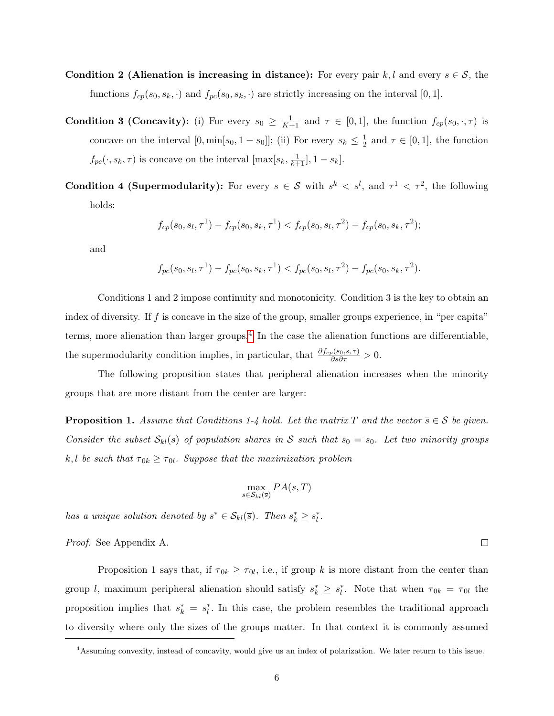- **Condition 2 (Alienation is increasing in distance):** For every pair k, l and every  $s \in \mathcal{S}$ , the functions  $f_{cp}(s_0, s_k, \cdot)$  and  $f_{pc}(s_0, s_k, \cdot)$  are strictly increasing on the interval [0, 1].
- **Condition 3 (Concavity):** (i) For every  $s_0 \geq \frac{1}{K+1}$  and  $\tau \in [0,1]$ , the function  $f_{cp}(s_0, \cdot, \tau)$  is concave on the interval  $[0, \min[s_0, 1 - s_0]]$ ; (ii) For every  $s_k \leq \frac{1}{2}$  $\frac{1}{2}$  and  $\tau \in [0,1]$ , the function  $f_{pc}(\cdot, s_k, \tau)$  is concave on the interval  $[\max[s_k, \frac{1}{k+1}], 1 - s_k]$ .
- **Condition 4 (Supermodularity):** For every  $s \in S$  with  $s^k \leq s^l$ , and  $\tau^1 \leq \tau^2$ , the following holds:

$$
f_{cp}(s_0, s_l, \tau^1) - f_{cp}(s_0, s_k, \tau^1) < f_{cp}(s_0, s_l, \tau^2) - f_{cp}(s_0, s_k, \tau^2);
$$

and

$$
f_{pc}(s_0, s_l, \tau^1) - f_{pc}(s_0, s_k, \tau^1) < f_{pc}(s_0, s_l, \tau^2) - f_{pc}(s_0, s_k, \tau^2).
$$

Conditions 1 and 2 impose continuity and monotonicity. Condition 3 is the key to obtain an index of diversity. If f is concave in the size of the group, smaller groups experience, in "per capita" terms, more alienation than larger groups.<sup>[4](#page-5-0)</sup> In the case the alienation functions are differentiable, the supermodularity condition implies, in particular, that  $\frac{\partial f_{cp}(s_0, s, \tau)}{\partial s \partial \tau} > 0$ .

The following proposition states that peripheral alienation increases when the minority groups that are more distant from the center are larger:

**Proposition 1.** Assume that Conditions 1-4 hold. Let the matrix T and the vector  $\overline{s} \in \mathcal{S}$  be given. Consider the subset  $\mathcal{S}_{kl}(\bar{s})$  of population shares in S such that  $s_0 = \bar{s_0}$ . Let two minority groups k, l be such that  $\tau_{0k} \geq \tau_{0l}$ . Suppose that the maximization problem

$$
\max_{s \in \mathcal{S}_{kl}(\overline{s})} PA(s, T)
$$

has a unique solution denoted by  $s^* \in S_{kl}(\overline{s})$ . Then  $s_k^* \geq s_l^*$ .

Proof. See Appendix A.

Proposition 1 says that, if  $\tau_{0k} \geq \tau_{0l}$ , i.e., if group k is more distant from the center than group l, maximum peripheral alienation should satisfy  $s_k^* \geq s_l^*$ . Note that when  $\tau_{0k} = \tau_{0l}$  the proposition implies that  $s_k^* = s_l^*$ . In this case, the problem resembles the traditional approach to diversity where only the sizes of the groups matter. In that context it is commonly assumed

 $\Box$ 

<span id="page-5-0"></span><sup>4</sup>Assuming convexity, instead of concavity, would give us an index of polarization. We later return to this issue.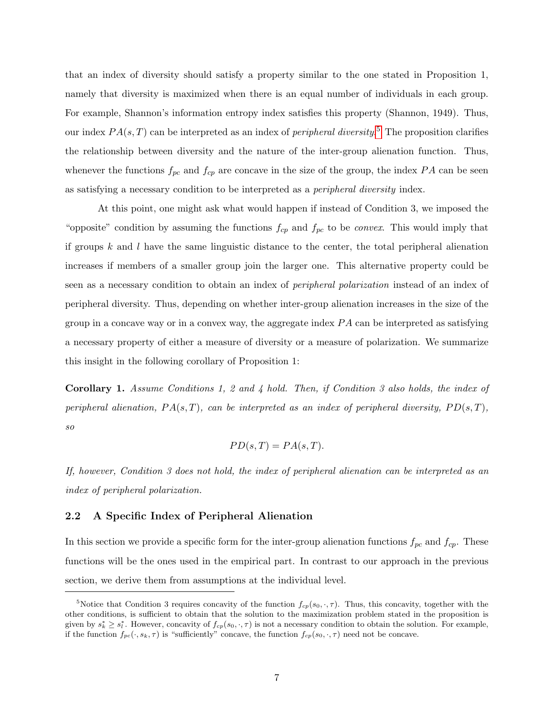that an index of diversity should satisfy a property similar to the one stated in Proposition 1, namely that diversity is maximized when there is an equal number of individuals in each group. For example, Shannon's information entropy index satisfies this property (Shannon, 1949). Thus, our index  $PA(s,T)$  can be interpreted as an index of *peripheral diversity*.<sup>[5](#page-6-0)</sup> The proposition clarifies the relationship between diversity and the nature of the inter-group alienation function. Thus, whenever the functions  $f_{pc}$  and  $f_{cp}$  are concave in the size of the group, the index PA can be seen as satisfying a necessary condition to be interpreted as a peripheral diversity index.

At this point, one might ask what would happen if instead of Condition 3, we imposed the "opposite" condition by assuming the functions  $f_{cp}$  and  $f_{pc}$  to be *convex*. This would imply that if groups  $k$  and  $l$  have the same linguistic distance to the center, the total peripheral alienation increases if members of a smaller group join the larger one. This alternative property could be seen as a necessary condition to obtain an index of peripheral polarization instead of an index of peripheral diversity. Thus, depending on whether inter-group alienation increases in the size of the group in a concave way or in a convex way, the aggregate index  $PA$  can be interpreted as satisfying a necessary property of either a measure of diversity or a measure of polarization. We summarize this insight in the following corollary of Proposition 1:

Corollary 1. Assume Conditions 1, 2 and 4 hold. Then, if Condition 3 also holds, the index of peripheral alienation,  $PA(s,T)$ , can be interpreted as an index of peripheral diversity,  $PD(s,T)$ , so

$$
PD(s,T) = PA(s,T).
$$

If, however, Condition 3 does not hold, the index of peripheral alienation can be interpreted as an index of peripheral polarization.

#### 2.2 A Specific Index of Peripheral Alienation

In this section we provide a specific form for the inter-group alienation functions  $f_{pc}$  and  $f_{cp}$ . These functions will be the ones used in the empirical part. In contrast to our approach in the previous section, we derive them from assumptions at the individual level.

<span id="page-6-0"></span><sup>&</sup>lt;sup>5</sup>Notice that Condition 3 requires concavity of the function  $f_{cp}(s_0, \cdot, \tau)$ . Thus, this concavity, together with the other conditions, is sufficient to obtain that the solution to the maximization problem stated in the proposition is given by  $s_k^* \geq s_l^*$ . However, concavity of  $f_{cp}(s_0, \cdot, \tau)$  is not a necessary condition to obtain the solution. For example, if the function  $f_{pc}(\cdot, s_k, \tau)$  is "sufficiently" concave, the function  $f_{cp}(s_0, \cdot, \tau)$  need not be concave.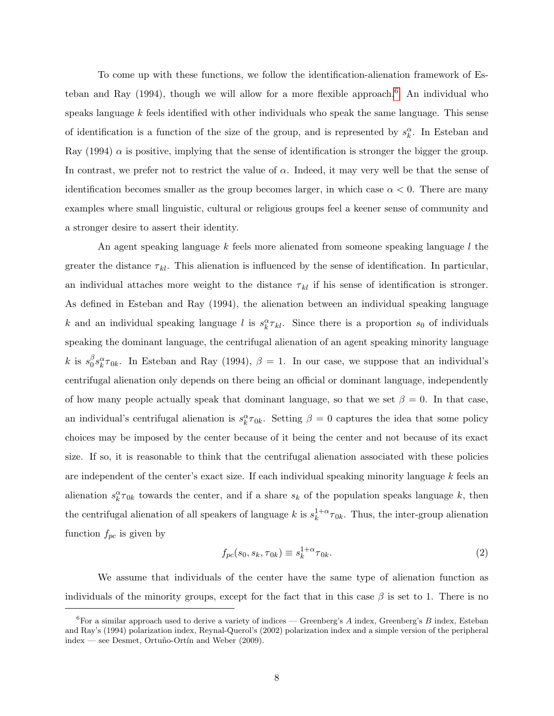To come up with these functions, we follow the identification-alienation framework of Es-teban and Ray (1994), though we will allow for a more flexible approach.<sup>[6](#page-7-0)</sup> An individual who speaks language  $k$  feels identified with other individuals who speak the same language. This sense of identification is a function of the size of the group, and is represented by  $s_k^{\alpha}$ . In Esteban and Ray (1994)  $\alpha$  is positive, implying that the sense of identification is stronger the bigger the group. In contrast, we prefer not to restrict the value of  $\alpha$ . Indeed, it may very well be that the sense of identification becomes smaller as the group becomes larger, in which case  $\alpha < 0$ . There are many examples where small linguistic, cultural or religious groups feel a keener sense of community and a stronger desire to assert their identity.

An agent speaking language  $k$  feels more alienated from someone speaking language  $l$  the greater the distance  $\tau_{kl}$ . This alienation is influenced by the sense of identification. In particular, an individual attaches more weight to the distance  $\tau_{kl}$  if his sense of identification is stronger. As defined in Esteban and Ray (1994), the alienation between an individual speaking language k and an individual speaking language l is  $s_k^{\alpha} \tau_{kl}$ . Since there is a proportion  $s_0$  of individuals speaking the dominant language, the centrifugal alienation of an agent speaking minority language k is  $s_0^{\beta}$  $\int_0^\beta s_k^\alpha \tau_{0k}$ . In Esteban and Ray (1994),  $\beta = 1$ . In our case, we suppose that an individual's centrifugal alienation only depends on there being an official or dominant language, independently of how many people actually speak that dominant language, so that we set  $\beta = 0$ . In that case, an individual's centrifugal alienation is  $s_k^{\alpha} \tau_{0k}$ . Setting  $\beta = 0$  captures the idea that some policy choices may be imposed by the center because of it being the center and not because of its exact size. If so, it is reasonable to think that the centrifugal alienation associated with these policies are independent of the center's exact size. If each individual speaking minority language k feels an alienation  $s_k^{\alpha} \tau_{0k}$  towards the center, and if a share  $s_k$  of the population speaks language k, then the centrifugal alienation of all speakers of language k is  $s_k^{1+\alpha}$  $k^{1+\alpha} \tau_{0k}$ . Thus, the inter-group alienation function  $f_{pc}$  is given by

<span id="page-7-1"></span>
$$
f_{pc}(s_0, s_k, \tau_{0k}) \equiv s_k^{1+\alpha} \tau_{0k}.\tag{2}
$$

We assume that individuals of the center have the same type of alienation function as individuals of the minority groups, except for the fact that in this case  $\beta$  is set to 1. There is no

<span id="page-7-0"></span><sup>&</sup>lt;sup>6</sup>For a similar approach used to derive a variety of indices — Greenberg's A index, Greenberg's B index, Esteban and Ray's (1994) polarization index, Reynal-Querol's (2002) polarization index and a simple version of the peripheral  $index - see Desmet, Ortiz$ Ortúño-Ortín and Weber (2009).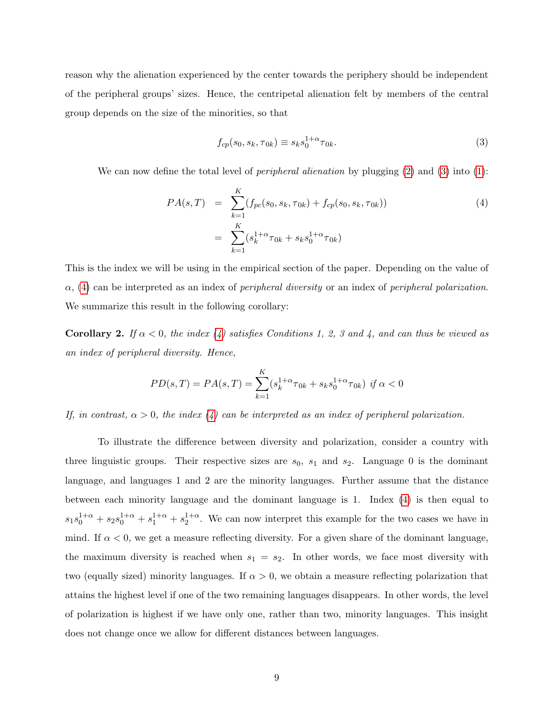reason why the alienation experienced by the center towards the periphery should be independent of the peripheral groups' sizes. Hence, the centripetal alienation felt by members of the central group depends on the size of the minorities, so that

<span id="page-8-0"></span>
$$
f_{cp}(s_0, s_k, \tau_{0k}) \equiv s_k s_0^{1+\alpha} \tau_{0k}.
$$
 (3)

We can now define the total level of *peripheral alienation* by plugging  $(2)$  and  $(3)$  into  $(1)$ :

<span id="page-8-1"></span>
$$
PA(s,T) = \sum_{k=1}^{K} (f_{pc}(s_0, s_k, \tau_{0k}) + f_{cp}(s_0, s_k, \tau_{0k}))
$$
  

$$
= \sum_{k=1}^{K} (s_k^{1+\alpha} \tau_{0k} + s_k s_0^{1+\alpha} \tau_{0k})
$$
 (4)

This is the index we will be using in the empirical section of the paper. Depending on the value of  $\alpha$ , [\(4\)](#page-8-1) can be interpreted as an index of *peripheral diversity* or an index of *peripheral polarization*. We summarize this result in the following corollary:

**Corollary 2.** If  $\alpha < 0$ , the index [\(4\)](#page-8-1) satisfies Conditions 1, 2, 3 and 4, and can thus be viewed as an index of peripheral diversity. Hence,

$$
PD(s,T) = PA(s,T) = \sum_{k=1}^{K} (s_k^{1+\alpha} \tau_{0k} + s_k s_0^{1+\alpha} \tau_{0k}) \text{ if } \alpha < 0
$$

If, in contrast,  $\alpha > 0$ , the index [\(4\)](#page-8-1) can be interpreted as an index of peripheral polarization.

To illustrate the difference between diversity and polarization, consider a country with three linguistic groups. Their respective sizes are  $s_0$ ,  $s_1$  and  $s_2$ . Language 0 is the dominant language, and languages 1 and 2 are the minority languages. Further assume that the distance between each minority language and the dominant language is 1. Index [\(4\)](#page-8-1) is then equal to  $s_1s_0^{1+\alpha} + s_2s_0^{1+\alpha} + s_1^{1+\alpha} + s_2^{1+\alpha}$ . We can now interpret this example for the two cases we have in mind. If  $\alpha < 0$ , we get a measure reflecting diversity. For a given share of the dominant language, the maximum diversity is reached when  $s_1 = s_2$ . In other words, we face most diversity with two (equally sized) minority languages. If  $\alpha > 0$ , we obtain a measure reflecting polarization that attains the highest level if one of the two remaining languages disappears. In other words, the level of polarization is highest if we have only one, rather than two, minority languages. This insight does not change once we allow for different distances between languages.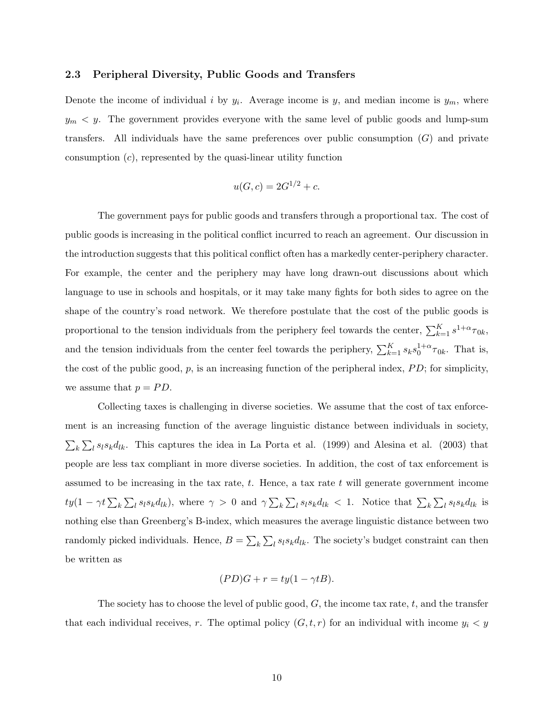### 2.3 Peripheral Diversity, Public Goods and Transfers

Denote the income of individual i by  $y_i$ . Average income is y, and median income is  $y_m$ , where  $y_m < y$ . The government provides everyone with the same level of public goods and lump-sum transfers. All individuals have the same preferences over public consumption  $(G)$  and private consumption  $(c)$ , represented by the quasi-linear utility function

$$
u(G, c) = 2G^{1/2} + c.
$$

The government pays for public goods and transfers through a proportional tax. The cost of public goods is increasing in the political conflict incurred to reach an agreement. Our discussion in the introduction suggests that this political conflict often has a markedly center-periphery character. For example, the center and the periphery may have long drawn-out discussions about which language to use in schools and hospitals, or it may take many fights for both sides to agree on the shape of the country's road network. We therefore postulate that the cost of the public goods is proportional to the tension individuals from the periphery feel towards the center,  $\sum_{k=1}^{K} s^{1+\alpha} \tau_{0k}$ , and the tension individuals from the center feel towards the periphery,  $\sum_{k=1}^{K} s_k s_0^{1+\alpha} \tau_{0k}$ . That is, the cost of the public good,  $p$ , is an increasing function of the peripheral index,  $PD$ ; for simplicity, we assume that  $p = PD$ .

Collecting taxes is challenging in diverse societies. We assume that the cost of tax enforcement is an increasing function of the average linguistic distance between individuals in society,  $\sum_{k} \sum_{l} s_l s_k d_{lk}$ . This captures the idea in La Porta et al. (1999) and Alesina et al. (2003) that people are less tax compliant in more diverse societies. In addition, the cost of tax enforcement is assumed to be increasing in the tax rate,  $t$ . Hence, a tax rate  $t$  will generate government income  $ty(1-\gamma t\sum_k\sum_l s_l s_k d_{lk}),$  where  $\gamma > 0$  and  $\gamma\sum_k\sum_l s_l s_k d_{lk} < 1$ . Notice that  $\sum_k\sum_l s_l s_k d_{lk}$  is nothing else than Greenberg's B-index, which measures the average linguistic distance between two randomly picked individuals. Hence,  $B = \sum_{k} \sum_{l} s_l s_k d_{lk}$ . The society's budget constraint can then be written as

$$
(PD)G + r = ty(1 - \gamma tB).
$$

The society has to choose the level of public good,  $G$ , the income tax rate,  $t$ , and the transfer that each individual receives, r. The optimal policy  $(G, t, r)$  for an individual with income  $y_i < y$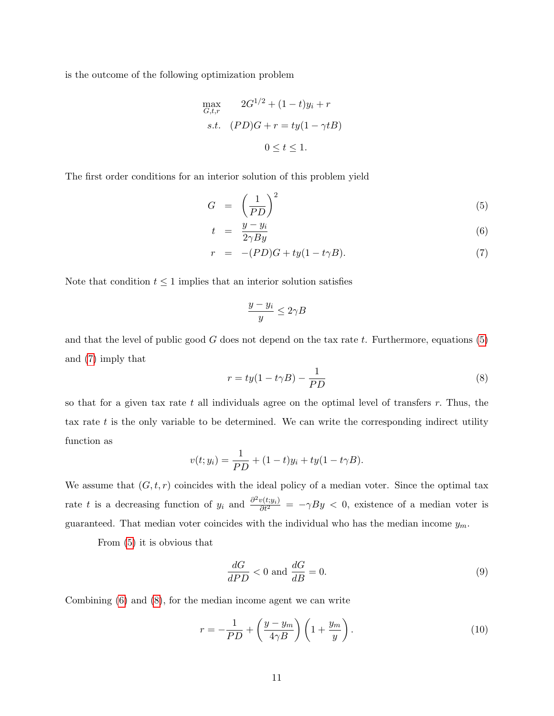is the outcome of the following optimization problem

$$
\max_{G,t,r} \quad 2G^{1/2} + (1-t)y_i + r
$$
  
s.t. 
$$
(PD)G + r = ty(1 - \gamma tB)
$$

$$
0 \le t \le 1.
$$

The first order conditions for an interior solution of this problem yield

<span id="page-10-0"></span>
$$
G = \left(\frac{1}{PD}\right)^2 \tag{5}
$$

$$
t = \frac{y - y_i}{2\gamma B y} \tag{6}
$$

$$
r = -(PD)G + ty(1 - t\gamma B). \tag{7}
$$

Note that condition  $t \leq 1$  implies that an interior solution satisfies

$$
\frac{y - y_i}{y} \le 2\gamma B
$$

and that the level of public good  $G$  does not depend on the tax rate  $t$ . Furthermore, equations [\(5\)](#page-10-0) and [\(7\)](#page-10-0) imply that

<span id="page-10-1"></span>
$$
r = ty(1 - t\gamma B) - \frac{1}{PD}
$$
\n<sup>(8)</sup>

so that for a given tax rate  $t$  all individuals agree on the optimal level of transfers  $r$ . Thus, the tax rate  $t$  is the only variable to be determined. We can write the corresponding indirect utility function as

$$
v(t; y_i) = \frac{1}{PD} + (1 - t)y_i + ty(1 - t\gamma B).
$$

We assume that  $(G, t, r)$  coincides with the ideal policy of a median voter. Since the optimal tax rate t is a decreasing function of  $y_i$  and  $\frac{\partial^2 v(t_i y_i)}{\partial t^2} = -\gamma By < 0$ , existence of a median voter is guaranteed. That median voter coincides with the individual who has the median income  $y_m$ .

From [\(5\)](#page-10-0) it is obvious that

<span id="page-10-3"></span>
$$
\frac{dG}{dPD} < 0 \text{ and } \frac{dG}{dB} = 0. \tag{9}
$$

Combining [\(6\)](#page-10-0) and [\(8\)](#page-10-1), for the median income agent we can write

<span id="page-10-2"></span>
$$
r = -\frac{1}{PD} + \left(\frac{y - y_m}{4\gamma B}\right) \left(1 + \frac{y_m}{y}\right). \tag{10}
$$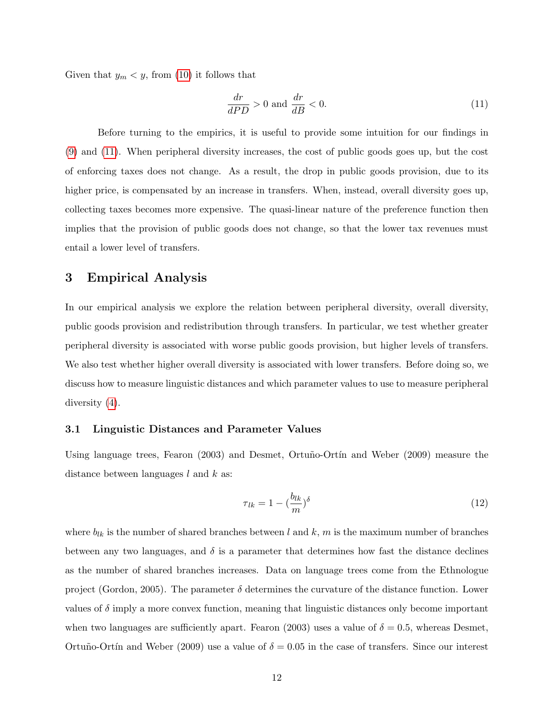Given that  $y_m < y$ , from [\(10\)](#page-10-2) it follows that

<span id="page-11-0"></span>
$$
\frac{dr}{dPD} > 0 \text{ and } \frac{dr}{dB} < 0. \tag{11}
$$

Before turning to the empirics, it is useful to provide some intuition for our findings in [\(9\)](#page-10-3) and [\(11\)](#page-11-0). When peripheral diversity increases, the cost of public goods goes up, but the cost of enforcing taxes does not change. As a result, the drop in public goods provision, due to its higher price, is compensated by an increase in transfers. When, instead, overall diversity goes up, collecting taxes becomes more expensive. The quasi-linear nature of the preference function then implies that the provision of public goods does not change, so that the lower tax revenues must entail a lower level of transfers.

### 3 Empirical Analysis

In our empirical analysis we explore the relation between peripheral diversity, overall diversity, public goods provision and redistribution through transfers. In particular, we test whether greater peripheral diversity is associated with worse public goods provision, but higher levels of transfers. We also test whether higher overall diversity is associated with lower transfers. Before doing so, we discuss how to measure linguistic distances and which parameter values to use to measure peripheral diversity [\(4\)](#page-8-1).

#### 3.1 Linguistic Distances and Parameter Values

Using language trees, Fearon (2003) and Desmet, Ortuño-Ortín and Weber (2009) measure the distance between languages  $l$  and  $k$  as:

$$
\tau_{lk} = 1 - \left(\frac{b_{lk}}{m}\right)^{\delta} \tag{12}
$$

where  $b_{lk}$  is the number of shared branches between l and k, m is the maximum number of branches between any two languages, and  $\delta$  is a parameter that determines how fast the distance declines as the number of shared branches increases. Data on language trees come from the Ethnologue project (Gordon, 2005). The parameter  $\delta$  determines the curvature of the distance function. Lower values of  $\delta$  imply a more convex function, meaning that linguistic distances only become important when two languages are sufficiently apart. Fearon (2003) uses a value of  $\delta = 0.5$ , whereas Desmet, Ortuño-Ortín and Weber (2009) use a value of  $\delta = 0.05$  in the case of transfers. Since our interest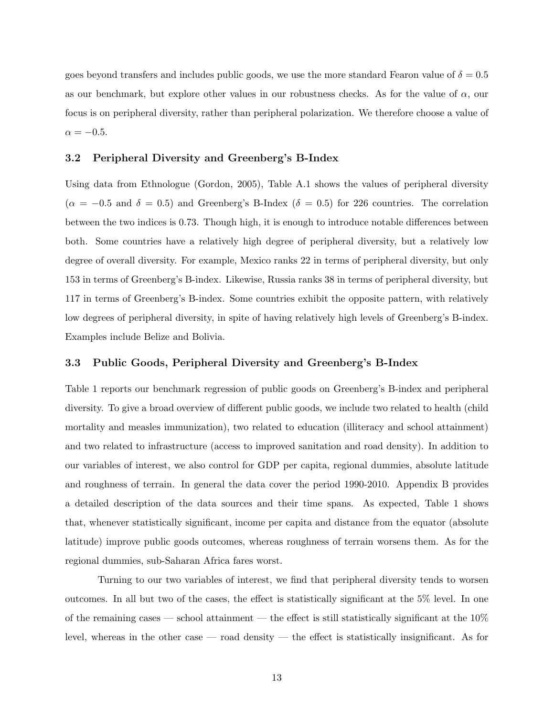goes beyond transfers and includes public goods, we use the more standard Fearon value of  $\delta = 0.5$ as our benchmark, but explore other values in our robustness checks. As for the value of  $\alpha$ , our focus is on peripheral diversity, rather than peripheral polarization. We therefore choose a value of  $\alpha = -0.5$ .

### 3.2 Peripheral Diversity and Greenberg's B-Index

Using data from Ethnologue (Gordon, 2005), Table A.1 shows the values of peripheral diversity  $(\alpha = -0.5 \text{ and } \delta = 0.5)$  and Greenberg's B-Index ( $\delta = 0.5$ ) for 226 countries. The correlation between the two indices is 0.73. Though high, it is enough to introduce notable differences between both. Some countries have a relatively high degree of peripheral diversity, but a relatively low degree of overall diversity. For example, Mexico ranks 22 in terms of peripheral diversity, but only 153 in terms of Greenberg's B-index. Likewise, Russia ranks 38 in terms of peripheral diversity, but 117 in terms of Greenberg's B-index. Some countries exhibit the opposite pattern, with relatively low degrees of peripheral diversity, in spite of having relatively high levels of Greenberg's B-index. Examples include Belize and Bolivia.

### 3.3 Public Goods, Peripheral Diversity and Greenberg's B-Index

Table 1 reports our benchmark regression of public goods on Greenberg's B-index and peripheral diversity. To give a broad overview of different public goods, we include two related to health (child mortality and measles immunization), two related to education (illiteracy and school attainment) and two related to infrastructure (access to improved sanitation and road density). In addition to our variables of interest, we also control for GDP per capita, regional dummies, absolute latitude and roughness of terrain. In general the data cover the period 1990-2010. Appendix B provides a detailed description of the data sources and their time spans. As expected, Table 1 shows that, whenever statistically significant, income per capita and distance from the equator (absolute latitude) improve public goods outcomes, whereas roughness of terrain worsens them. As for the regional dummies, sub-Saharan Africa fares worst.

Turning to our two variables of interest, we find that peripheral diversity tends to worsen outcomes. In all but two of the cases, the effect is statistically significant at the 5% level. In one of the remaining cases — school attainment — the effect is still statistically significant at the  $10\%$ level, whereas in the other case — road density — the effect is statistically insignificant. As for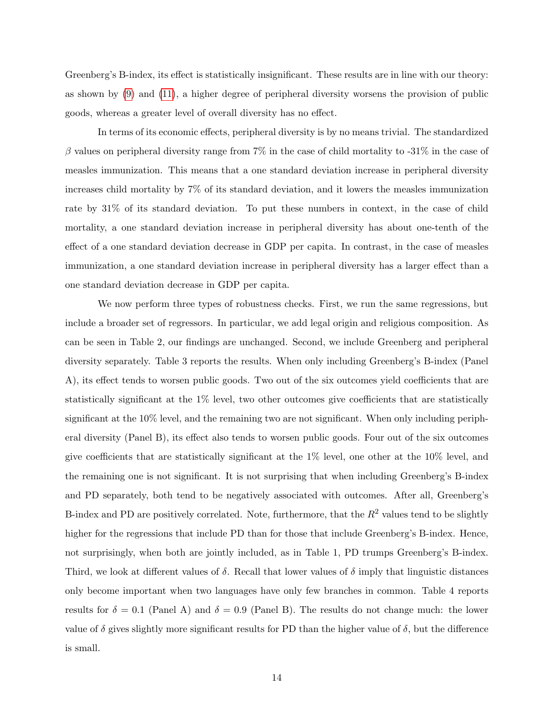Greenberg's B-index, its effect is statistically insignificant. These results are in line with our theory: as shown by [\(9\)](#page-10-3) and [\(11\)](#page-11-0), a higher degree of peripheral diversity worsens the provision of public goods, whereas a greater level of overall diversity has no effect.

In terms of its economic effects, peripheral diversity is by no means trivial. The standardized  $\beta$  values on peripheral diversity range from 7% in the case of child mortality to -31% in the case of measles immunization. This means that a one standard deviation increase in peripheral diversity increases child mortality by 7% of its standard deviation, and it lowers the measles immunization rate by 31% of its standard deviation. To put these numbers in context, in the case of child mortality, a one standard deviation increase in peripheral diversity has about one-tenth of the effect of a one standard deviation decrease in GDP per capita. In contrast, in the case of measles immunization, a one standard deviation increase in peripheral diversity has a larger effect than a one standard deviation decrease in GDP per capita.

We now perform three types of robustness checks. First, we run the same regressions, but include a broader set of regressors. In particular, we add legal origin and religious composition. As can be seen in Table 2, our findings are unchanged. Second, we include Greenberg and peripheral diversity separately. Table 3 reports the results. When only including Greenberg's B-index (Panel A), its effect tends to worsen public goods. Two out of the six outcomes yield coefficients that are statistically significant at the 1% level, two other outcomes give coefficients that are statistically significant at the 10% level, and the remaining two are not significant. When only including peripheral diversity (Panel B), its effect also tends to worsen public goods. Four out of the six outcomes give coefficients that are statistically significant at the 1% level, one other at the 10% level, and the remaining one is not significant. It is not surprising that when including Greenberg's B-index and PD separately, both tend to be negatively associated with outcomes. After all, Greenberg's B-index and PD are positively correlated. Note, furthermore, that the  $R^2$  values tend to be slightly higher for the regressions that include PD than for those that include Greenberg's B-index. Hence, not surprisingly, when both are jointly included, as in Table 1, PD trumps Greenberg's B-index. Third, we look at different values of  $\delta$ . Recall that lower values of  $\delta$  imply that linguistic distances only become important when two languages have only few branches in common. Table 4 reports results for  $\delta = 0.1$  (Panel A) and  $\delta = 0.9$  (Panel B). The results do not change much: the lower value of  $\delta$  gives slightly more significant results for PD than the higher value of  $\delta$ , but the difference is small.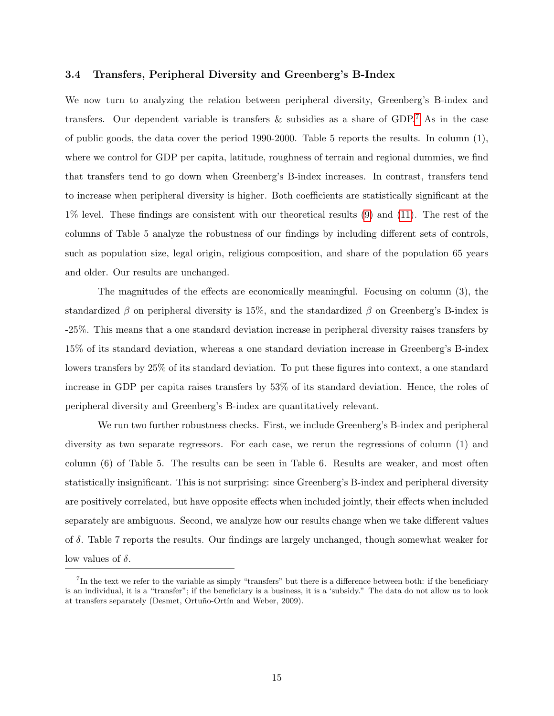### 3.4 Transfers, Peripheral Diversity and Greenberg's B-Index

We now turn to analyzing the relation between peripheral diversity, Greenberg's B-index and transfers. Our dependent variable is transfers  $\&$  subsidies as a share of GDP.<sup>[7](#page-14-0)</sup> As in the case of public goods, the data cover the period 1990-2000. Table 5 reports the results. In column (1), where we control for GDP per capita, latitude, roughness of terrain and regional dummies, we find that transfers tend to go down when Greenberg's B-index increases. In contrast, transfers tend to increase when peripheral diversity is higher. Both coefficients are statistically significant at the 1% level. These findings are consistent with our theoretical results [\(9\)](#page-10-3) and [\(11\)](#page-11-0). The rest of the columns of Table 5 analyze the robustness of our findings by including different sets of controls, such as population size, legal origin, religious composition, and share of the population 65 years and older. Our results are unchanged.

The magnitudes of the effects are economically meaningful. Focusing on column (3), the standardized  $\beta$  on peripheral diversity is 15%, and the standardized  $\beta$  on Greenberg's B-index is -25%. This means that a one standard deviation increase in peripheral diversity raises transfers by 15% of its standard deviation, whereas a one standard deviation increase in Greenberg's B-index lowers transfers by 25% of its standard deviation. To put these figures into context, a one standard increase in GDP per capita raises transfers by 53% of its standard deviation. Hence, the roles of peripheral diversity and Greenberg's B-index are quantitatively relevant.

We run two further robustness checks. First, we include Greenberg's B-index and peripheral diversity as two separate regressors. For each case, we rerun the regressions of column (1) and column (6) of Table 5. The results can be seen in Table 6. Results are weaker, and most often statistically insignificant. This is not surprising: since Greenberg's B-index and peripheral diversity are positively correlated, but have opposite effects when included jointly, their effects when included separately are ambiguous. Second, we analyze how our results change when we take different values of  $\delta$ . Table 7 reports the results. Our findings are largely unchanged, though somewhat weaker for low values of  $\delta$ .

<span id="page-14-0"></span><sup>&</sup>lt;sup>7</sup>In the text we refer to the variable as simply "transfers" but there is a difference between both: if the beneficiary is an individual, it is a "transfer"; if the beneficiary is a business, it is a 'subsidy." The data do not allow us to look at transfers separately (Desmet, Ortuño-Ortín and Weber, 2009).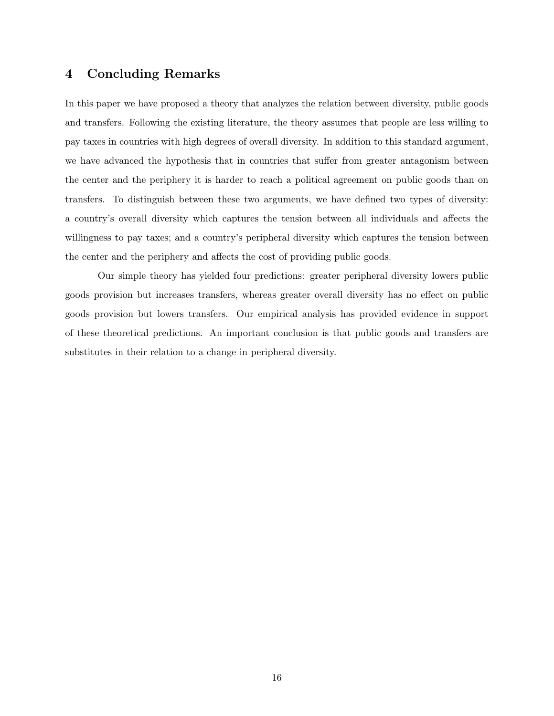## 4 Concluding Remarks

In this paper we have proposed a theory that analyzes the relation between diversity, public goods and transfers. Following the existing literature, the theory assumes that people are less willing to pay taxes in countries with high degrees of overall diversity. In addition to this standard argument, we have advanced the hypothesis that in countries that suffer from greater antagonism between the center and the periphery it is harder to reach a political agreement on public goods than on transfers. To distinguish between these two arguments, we have defined two types of diversity: a country's overall diversity which captures the tension between all individuals and affects the willingness to pay taxes; and a country's peripheral diversity which captures the tension between the center and the periphery and affects the cost of providing public goods.

Our simple theory has yielded four predictions: greater peripheral diversity lowers public goods provision but increases transfers, whereas greater overall diversity has no effect on public goods provision but lowers transfers. Our empirical analysis has provided evidence in support of these theoretical predictions. An important conclusion is that public goods and transfers are substitutes in their relation to a change in peripheral diversity.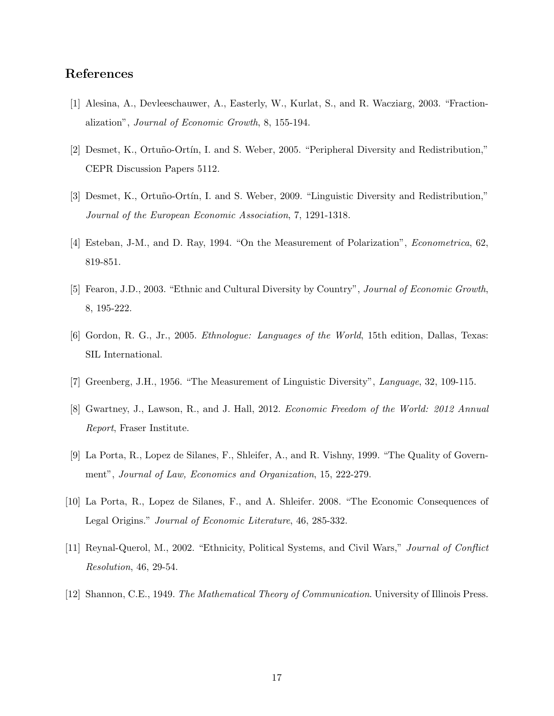## References

- [1] Alesina, A., Devleeschauwer, A., Easterly, W., Kurlat, S., and R. Wacziarg, 2003. "Fractionalization", Journal of Economic Growth, 8, 155-194.
- [2] Desmet, K., Ortuño-Ortín, I. and S. Weber, 2005. "Peripheral Diversity and Redistribution," CEPR Discussion Papers 5112.
- [3] Desmet, K., Ortuño-Ortín, I. and S. Weber, 2009. "Linguistic Diversity and Redistribution," Journal of the European Economic Association, 7, 1291-1318.
- [4] Esteban, J-M., and D. Ray, 1994. "On the Measurement of Polarization", Econometrica, 62, 819-851.
- [5] Fearon, J.D., 2003. "Ethnic and Cultural Diversity by Country", Journal of Economic Growth, 8, 195-222.
- [6] Gordon, R. G., Jr., 2005. Ethnologue: Languages of the World, 15th edition, Dallas, Texas: SIL International.
- [7] Greenberg, J.H., 1956. "The Measurement of Linguistic Diversity", Language, 32, 109-115.
- [8] Gwartney, J., Lawson, R., and J. Hall, 2012. Economic Freedom of the World: 2012 Annual Report, Fraser Institute.
- [9] La Porta, R., Lopez de Silanes, F., Shleifer, A., and R. Vishny, 1999. "The Quality of Government", Journal of Law, Economics and Organization, 15, 222-279.
- [10] La Porta, R., Lopez de Silanes, F., and A. Shleifer. 2008. "The Economic Consequences of Legal Origins." Journal of Economic Literature, 46, 285-332.
- [11] Reynal-Querol, M., 2002. "Ethnicity, Political Systems, and Civil Wars," Journal of Conflict Resolution, 46, 29-54.
- [12] Shannon, C.E., 1949. The Mathematical Theory of Communication. University of Illinois Press.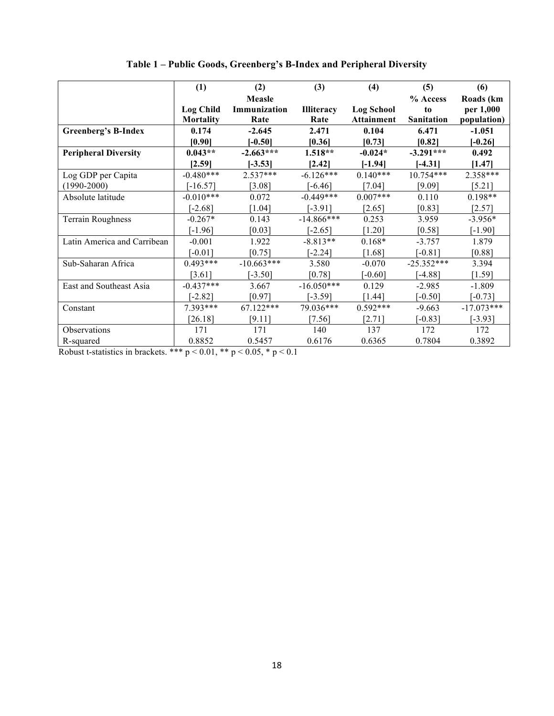|                             | (1)              | (2)          | (3)               | (4)               | (5)               | (6)          |
|-----------------------------|------------------|--------------|-------------------|-------------------|-------------------|--------------|
|                             |                  | Measle       |                   |                   | % Access          | Roads (km    |
|                             | <b>Log Child</b> | Immunization | <b>Illiteracy</b> | <b>Log School</b> | to                | per 1,000    |
|                             | <b>Mortality</b> | Rate         | Rate              | <b>Attainment</b> | <b>Sanitation</b> | population)  |
| <b>Greenberg's B-Index</b>  | 0.174            | $-2.645$     | 2.471             | 0.104             | 6.471             | $-1.051$     |
|                             | [0.90]           | $[-0.50]$    | [0.36]            | [0.73]            | [0.82]            | $[-0.26]$    |
| <b>Peripheral Diversity</b> | $0.043**$        | $-2.663***$  | $1.518**$         | $-0.024*$         | $-3.291***$       | 0.492        |
|                             | [2.59]           | $[-3.53]$    | [2.42]            | $[-1.94]$         | $[-4.31]$         | [1.47]       |
| Log GDP per Capita          | $-0.480***$      | $2.537***$   | $-6.126***$       | $0.140***$        | $10.754***$       | 2.358***     |
| $(1990 - 2000)$             | [-16.57]         | [3.08]       | -6.461            | [7.04]            | [9.09]            | [5.21]       |
| Absolute latitude           | $-0.010***$      | 0.072        | $-0.449***$       | $0.007***$        | 0.110             | $0.198**$    |
|                             | $-2.68$ ]        | [1.04]       | $-3.91$ ]         | $[2.65]$          | [0.83]            | [2.57]       |
| Terrain Roughness           | $-0.267*$        | 0.143        | $-14.866***$      | 0.253             | 3.959             | $-3.956*$    |
|                             | [-1.96]          | [0.03]       | $-2.65$ ]         | $[1.20]$          | [0.58]            | $[-1.90]$    |
| Latin America and Carribean | $-0.001$         | 1.922        | $-8.813**$        | $0.168*$          | $-3.757$          | 1.879        |
|                             | $[-0.01]$        | [0.75]       | $-2.24$ ]         | [1.68]            | $[-0.81]$         | [0.88]       |
| Sub-Saharan Africa          | $0.493***$       | $-10.663***$ | 3.580             | $-0.070$          | $-25.352***$      | 3.394        |
|                             | [3.61]           | $[-3.50]$    | [0.78]            | $[-0.60]$         | $[-4.88]$         | [1.59]       |
| East and Southeast Asia     | $-0.437***$      | 3.667        | $-16.050***$      | 0.129             | $-2.985$          | $-1.809$     |
|                             | $-2.82$ ]        | [0.97]       | $[-3.59]$         | $[1.44]$          | $[-0.50]$         | $[-0.73]$    |
| Constant                    | 7.393***         | $67.122***$  | 79.036***         | $0.592***$        | $-9.663$          | $-17.073***$ |
|                             | [26.18]          | [9.11]       | [7.56]            | [2.71]            | $[-0.83]$         | [-3.93]      |
| Observations                | 171              | 171          | 140               | 137               | 172               | 172          |
| R-squared                   | 0.8852           | 0.5457       | 0.6176            | 0.6365            | 0.7804            | 0.3892       |

**Table 1 – Public Goods, Greenberg's B-Index and Peripheral Diversity**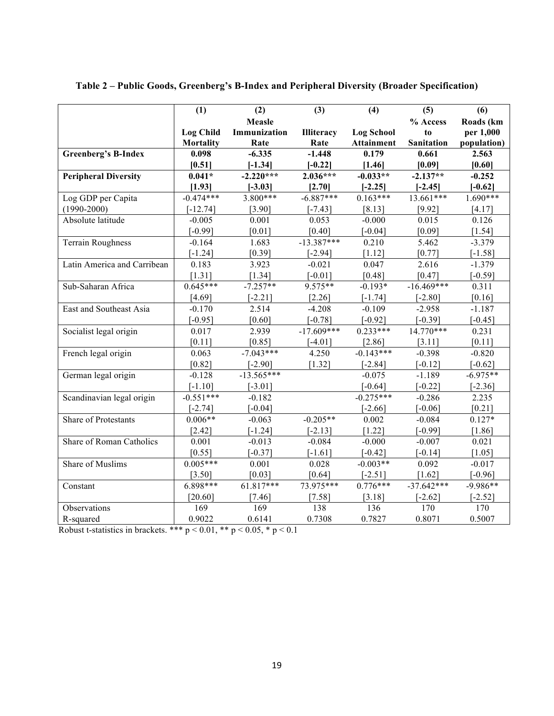|                             | (1)              | (2)           | (3)               | (4)               | (5)               | (6)         |
|-----------------------------|------------------|---------------|-------------------|-------------------|-------------------|-------------|
|                             |                  | <b>Measle</b> |                   |                   | % Access          | Roads (km   |
|                             | <b>Log Child</b> | Immunization  | <b>Illiteracy</b> | <b>Log School</b> | to                | per 1,000   |
|                             | <b>Mortality</b> | Rate          | Rate              | <b>Attainment</b> | <b>Sanitation</b> | population) |
| <b>Greenberg's B-Index</b>  | 0.098            | $-6.335$      | $-1.448$          | 0.179             | 0.661             | 2.563       |
|                             | [0.51]           | $[-1.34]$     | $[-0.22]$         | [1.46]            | [0.09]            | [0.60]      |
| <b>Peripheral Diversity</b> | $0.041*$         | $-2.220***$   | $2.036***$        | $-0.033**$        | $-2.137**$        | $-0.252$    |
|                             | [1.93]           | $[-3.03]$     | [2.70]            | $[-2.25]$         | $[-2.45]$         | $[-0.62]$   |
| Log GDP per Capita          | $-0.474***$      | $3.800***$    | $-6.887***$       | $0.163***$        | $13.661***$       | $1.690***$  |
| $(1990 - 2000)$             | $[-12.74]$       | [3.90]        | $[-7.43]$         | [8.13]            | [9.92]            | [4.17]      |
| Absolute latitude           | $-0.005$         | 0.001         | 0.053             | $-0.000$          | 0.015             | 0.126       |
|                             | $[-0.99]$        | [0.01]        | [0.40]            | $[-0.04]$         | [0.09]            | [1.54]      |
| <b>Terrain Roughness</b>    | $-0.164$         | 1.683         | $-13.387***$      | 0.210             | 5.462             | $-3.379$    |
|                             | $[-1.24]$        | [0.39]        | $[-2.94]$         | [1.12]            | [0.77]            | $[-1.58]$   |
| Latin America and Carribean | 0.183            | 3.923         | $-0.021$          | 0.047             | 2.616             | $-1.379$    |
|                             | [1.31]           | [1.34]        | $[-0.01]$         | [0.48]            | [0.47]            | $[-0.59]$   |
| Sub-Saharan Africa          | $0.645***$       | $-7.257**$    | $9.575**$         | $-0.193*$         | $-16.469***$      | 0.311       |
|                             | [4.69]           | $[-2.21]$     | [2.26]            | $[-1.74]$         | $[-2.80]$         | [0.16]      |
| East and Southeast Asia     | $-0.170$         | 2.514         | $-4.208$          | $-0.109$          | $-2.958$          | $-1.187$    |
|                             | $[-0.95]$        | [0.60]        | $[-0.78]$         | $[-0.92]$         | $[-0.39]$         | $[-0.45]$   |
| Socialist legal origin      | 0.017            | 2.939         | $-17.609***$      | $0.233***$        | 14.770***         | 0.231       |
|                             | [0.11]           | [0.85]        | $[-4.01]$         | [2.86]            | [3.11]            | [0.11]      |
| French legal origin         | 0.063            | $-7.043***$   | 4.250             | $-0.143***$       | $-0.398$          | $-0.820$    |
|                             | [0.82]           | $[-2.90]$     | [1.32]            | $[-2.84]$         | $[-0.12]$         | $[-0.62]$   |
| German legal origin         | $-0.128$         | $-13.565***$  |                   | $-0.075$          | $-1.189$          | $-6.975**$  |
|                             | $[-1.10]$        | $[-3.01]$     |                   | $[-0.64]$         | $[-0.22]$         | $[-2.36]$   |
| Scandinavian legal origin   | $-0.551***$      | $-0.182$      |                   | $-0.275***$       | $-0.286$          | 2.235       |
|                             | $[-2.74]$        | $[-0.04]$     |                   | $[-2.66]$         | $[-0.06]$         | $[0.21]$    |
| Share of Protestants        | $0.006**$        | $-0.063$      | $-0.205**$        | 0.002             | $-0.084$          | $0.127*$    |
|                             | [2.42]           | $[-1.24]$     | $[-2.13]$         | [1.22]            | $[-0.99]$         | [1.86]      |
| Share of Roman Catholics    | 0.001            | $-0.013$      | $-0.084$          | $-0.000$          | $-0.007$          | 0.021       |
|                             | [0.55]           | $[-0.37]$     | $[-1.61]$         | $[-0.42]$         | $[-0.14]$         | [1.05]      |
| Share of Muslims            | $0.005***$       | 0.001         | 0.028             | $-0.003**$        | 0.092             | $-0.017$    |
|                             | [3.50]           | [0.03]        | [0.64]            | $[-2.51]$         | $[1.62]$          | $[-0.96]$   |
| Constant                    | $6.898***$       | 61.817***     | 73.975***         | $0.776***$        | $-37.642***$      | $-9.986**$  |
|                             | [20.60]          | [7.46]        | [7.58]            | [3.18]            | $[-2.62]$         | $[-2.52]$   |
| Observations                | 169              | 169           | 138               | 136               | 170               | 170         |
| R-squared                   | 0.9022           | 0.6141        | 0.7308            | 0.7827            | 0.8071            | 0.5007      |

## **Table 2 – Public Goods, Greenberg's B-Index and Peripheral Diversity (Broader Specification)**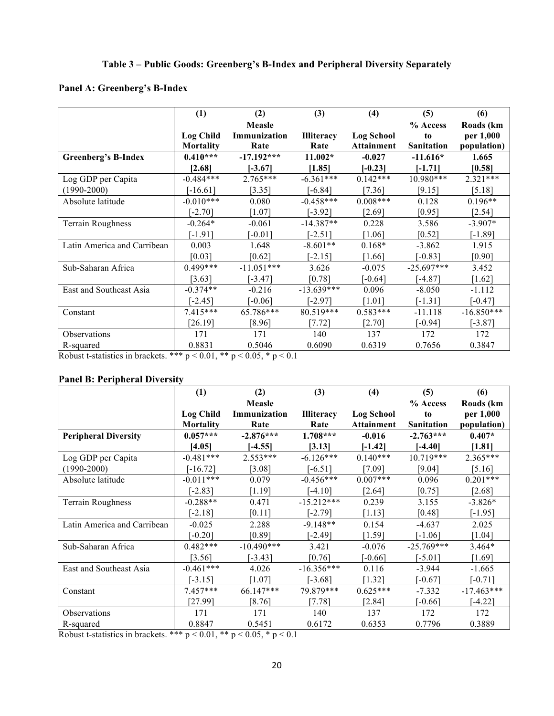## **Table 3 – Public Goods: Greenberg's B-Index and Peripheral Diversity Separately**

# **Panel A: Greenberg's B-Index**

|                             | (1)              | (2)          | (3)               | (4)               | (5)               | (6)          |
|-----------------------------|------------------|--------------|-------------------|-------------------|-------------------|--------------|
|                             |                  | Measle       |                   |                   | % Access          | Roads (km    |
|                             | <b>Log Child</b> | Immunization | <b>Illiteracy</b> | <b>Log School</b> | to                | per 1,000    |
|                             | <b>Mortality</b> | Rate         | Rate              | <b>Attainment</b> | <b>Sanitation</b> | population)  |
| <b>Greenberg's B-Index</b>  | $0.410***$       | $-17.192***$ | $11.002*$         | $-0.027$          | $-11.616*$        | 1.665        |
|                             | [2.68]           | $[-3.67]$    | [1.85]            | $[-0.23]$         | $[-1.71]$         | [0.58]       |
| Log GDP per Capita          | $-0.484***$      | $2.765***$   | $-6.361***$       | $0.142***$        | $10.980***$       | $2.321***$   |
| $(1990 - 2000)$             | [-16.61]         | [3.35]       | $[-6.84]$         | [7.36]            | [9.15]            | [5.18]       |
| Absolute latitude           | $-0.010***$      | 0.080        | $-0.458***$       | $0.008***$        | 0.128             | $0.196**$    |
|                             | $[-2.70]$        | [1.07]       | $[-3.92]$         | [2.69]            | [0.95]            | $[2.54]$     |
| <b>Terrain Roughness</b>    | $-0.264*$        | $-0.061$     | $-14.387**$       | 0.228             | 3.586             | $-3.907*$    |
|                             | $[-1.91]$        | $-0.011$     | $[-2.51]$         | [1.06]            | [0.52]            | $[-1.89]$    |
| Latin America and Carribean | 0.003            | 1.648        | $-8.601**$        | $0.168*$          | $-3.862$          | 1.915        |
|                             | [0.03]           | [0.62]       | $[-2.15]$         | [1.66]            | $-0.83$ ]         | [0.90]       |
| Sub-Saharan Africa          | $0.499***$       | $-11.051***$ | 3.626             | $-0.075$          | $-25.697***$      | 3.452        |
|                             | [3.63]           | $[-3.47]$    | [0.78]            | $-0.64]$          | $-4.87$ ]         | $[1.62]$     |
| East and Southeast Asia     | $-0.374**$       | $-0.216$     | $-13.639***$      | 0.096             | $-8.050$          | $-1.112$     |
|                             | $-2.45$ ]        | [-0.06]      | $[-2.97]$         | $[1.01]$          | $[-1.31]$         | $-0.47$ ]    |
| Constant                    | $7.415***$       | 65.786***    | $80.519***$       | $0.583***$        | $-11.118$         | $-16.850***$ |
|                             | [26.19]          | [8.96]       | [7.72]            | $[2.70]$          | $[-0.94]$         | $-3.87$ ]    |
| <b>Observations</b>         | 171              | 171          | 140               | 137               | 172               | 172          |
| R-squared                   | 0.8831           | 0.5046       | 0.6090            | 0.6319            | 0.7656            | 0.3847       |

Robust t-statistics in brackets. \*\*\*  $p < 0.01$ , \*\*  $p < 0.05$ , \*  $p < 0.1$ 

### **Panel B: Peripheral Diversity**

|                             | (1)              | (2)          | (3)               | (4)               | (5)               | (6)          |
|-----------------------------|------------------|--------------|-------------------|-------------------|-------------------|--------------|
|                             |                  | Measle       |                   |                   | % Access          | Roads (km    |
|                             | <b>Log Child</b> | Immunization | <b>Illiteracy</b> | <b>Log School</b> | to                | per 1,000    |
|                             | <b>Mortality</b> | Rate         | Rate              | <b>Attainment</b> | <b>Sanitation</b> | population)  |
| <b>Peripheral Diversity</b> | $0.057***$       | $-2.876***$  | $1.708***$        | $-0.016$          | $-2.763***$       | $0.407*$     |
|                             | [4.05]           | [-4.55]      | [3.13]            | [-1.42]           | $[-4.40]$         | [1.81]       |
| Log GDP per Capita          | $-0.481***$      | $2.553***$   | $-6.126***$       | $0.140***$        | $10.719***$       | $2.365***$   |
| $(1990 - 2000)$             | $[-16.72]$       | [3.08]       | $[-6.51]$         | [7.09]            | [9.04]            | [5.16]       |
| Absolute latitude           | $-0.011***$      | 0.079        | $-0.456***$       | $0.007***$        | 0.096             | $0.201***$   |
|                             | $-2.83$ ]        | [1.19]       | $[-4.10]$         | [2.64]            | $[0.75]$          | [2.68]       |
| <b>Terrain Roughness</b>    | $-0.288**$       | 0.471        | $-15.212***$      | 0.239             | 3.155             | $-3.826*$    |
|                             | $[-2.18]$        | [0.11]       | [-2.79]           | [1.13]            | [0.48]            | -1.951       |
| Latin America and Carribean | $-0.025$         | 2.288        | $-9.148**$        | 0.154             | $-4.637$          | 2.025        |
|                             | $[-0.20]$        | [0.89]       | $[-2.49]$         | [1.59]            | [-1.06]           | $[1.04]$     |
| Sub-Saharan Africa          | $0.482***$       | $-10.490***$ | 3.421             | $-0.076$          | $-25.769***$      | $3.464*$     |
|                             | [3.56]           | $-3.43$ ]    | [0.76]            | [- $0.66$ ]       | $-5.01$           | [1.69]       |
| East and Southeast Asia     | $-0.461***$      | 4.026        | $-16.356***$      | 0.116             | $-3.944$          | $-1.665$     |
|                             | $[-3.15]$        | [1.07]       | $[-3.68]$         | $[1.32]$          | $[-0.67]$         | $-0.71$ ]    |
| Constant                    | $7.457***$       | 66.147***    | 79.879***         | $0.625***$        | $-7.332$          | $-17.463***$ |
|                             | [27.99]          | [8.76]       | [7.78]            | [2.84]            | $[-0.66]$         | $-4.22]$     |
| Observations                | 171              | 171          | 140               | 137               | 172               | 172          |
| R-squared                   | 0.8847           | 0.5451       | 0.6172            | 0.6353            | 0.7796            | 0.3889       |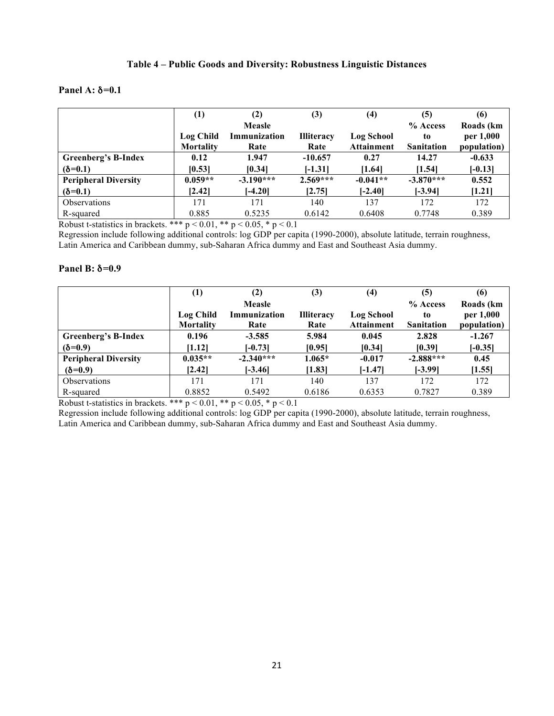### **Table 4 – Public Goods and Diversity: Robustness Linguistic Distances**

### **Panel A:** δ**=0.1**

|                             | $\left(1\right)$ | (2)          | (3)               | (4)               | (5)               | (6)         |
|-----------------------------|------------------|--------------|-------------------|-------------------|-------------------|-------------|
|                             |                  | Measle       |                   |                   | $%$ Access        | Roads (km   |
|                             | <b>Log Child</b> | Immunization | <b>Illiteracy</b> | <b>Log School</b> | to                | per 1,000   |
|                             | Mortality        | Rate         | Rate              | <b>Attainment</b> | <b>Sanitation</b> | population) |
| Greenberg's B-Index         | 0.12             | 1.947        | $-10.657$         | 0.27              | 14.27             | $-0.633$    |
| $(\delta=0.1)$              | [0.53]           | [0.34]       | $[-1.31]$         | [1.64]            | [1.54]            | $[-0.13]$   |
| <b>Peripheral Diversity</b> | $0.059**$        | $-3.190***$  | $2.569***$        | $-0.041**$        | $-3.870***$       | 0.552       |
| $(\delta = 0.1)$            | $[2.42]$         | $[-4.20]$    | [2.75]            | $[-2.40]$         | $[-3.94]$         | [1.21]      |
| <b>Observations</b>         | 171              | 171          | 140               | 137               | 172               | 172         |
| R-squared                   | 0.885            | 0.5235       | 0.6142            | 0.6408            | 0.7748            | 0.389       |

Robust t-statistics in brackets. \*\*\*  $p < 0.01$ , \*\*  $p < 0.05$ , \*  $p < 0.1$ 

Regression include following additional controls: log GDP per capita (1990-2000), absolute latitude, terrain roughness, Latin America and Caribbean dummy, sub-Saharan Africa dummy and East and Southeast Asia dummy.

### **Panel B:** δ**=0.9**

|                             | $\left(1\right)$ | (2)          | (3)               | (4)               | (5)               | (6)         |
|-----------------------------|------------------|--------------|-------------------|-------------------|-------------------|-------------|
|                             |                  | Measle       |                   |                   | % Access          | Roads (km   |
|                             | <b>Log Child</b> | Immunization | <b>Illiteracy</b> | <b>Log School</b> | to                | per 1,000   |
|                             | <b>Mortality</b> | Rate         | Rate              | <b>Attainment</b> | <b>Sanitation</b> | population) |
| Greenberg's B-Index         | 0.196            | $-3.585$     | 5.984             | 0.045             | 2.828             | $-1.267$    |
| $(\delta = 0.9)$            | [1.12]           | $[-0.73]$    | [0.95]            | [0.34]            | [0.39]            | $[-0.35]$   |
| <b>Peripheral Diversity</b> | $0.035**$        | $-2.340***$  | $1.065*$          | $-0.017$          | $-2.888***$       | 0.45        |
| $(\delta = 0.9)$            | $[2.42]$         | $[-3.46]$    | [1.83]            | $[-1.47]$         | $[-3.99]$         | [1.55]      |
| <b>Observations</b>         | 171              | 171          | 140               | 137               | 172               | 172         |
| R-squared                   | 0.8852           | 0.5492       | 0.6186            | 0.6353            | 0.7827            | 0.389       |

Robust t-statistics in brackets. \*\*\*  $p < 0.01$ , \*\*  $p < 0.05$ , \*  $p < 0.1$ 

Regression include following additional controls: log GDP per capita (1990-2000), absolute latitude, terrain roughness, Latin America and Caribbean dummy, sub-Saharan Africa dummy and East and Southeast Asia dummy.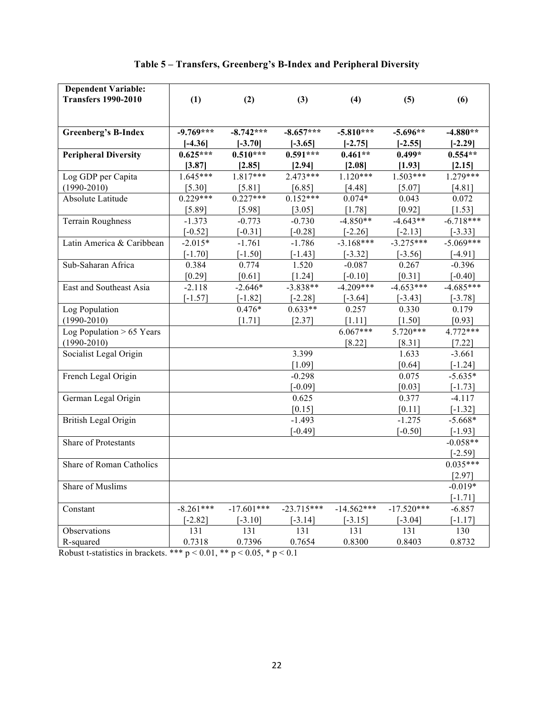| <b>Dependent Variable:</b>  |             |              |              |              |              |             |
|-----------------------------|-------------|--------------|--------------|--------------|--------------|-------------|
| <b>Transfers 1990-2010</b>  | (1)         | (2)          | (3)          | (4)          | (5)          | (6)         |
|                             |             |              |              |              |              |             |
| <b>Greenberg's B-Index</b>  | $-9.769***$ | $-8.742***$  | $-8.657***$  | $-5.810***$  | $-5.696**$   | $-4.880**$  |
|                             | $[-4.36]$   | $[-3.70]$    | $[-3.65]$    | $[-2.75]$    | $[-2.55]$    | $[-2.29]$   |
| <b>Peripheral Diversity</b> | $0.625***$  | $0.510***$   | $0.591***$   | $0.461**$    | $0.499*$     | $0.554**$   |
|                             | [3.87]      | [2.85]       | [2.94]       | [2.08]       | [1.93]       | [2.15]      |
| Log GDP per Capita          | $1.645***$  | $1.817***$   | $2.473***$   | $1.120***$   | $1.503***$   | $1.279***$  |
| $(1990 - 2010)$             | [5.30]      | [5.81]       | [6.85]       | [4.48]       | [5.07]       | [4.81]      |
| Absolute Latitude           | $0.229***$  | $0.227***$   | $0.152***$   | $0.074*$     | 0.043        | 0.072       |
|                             | [5.89]      | [5.98]       | [3.05]       | [1.78]       | [0.92]       | [1.53]      |
| <b>Terrain Roughness</b>    | $-1.373$    | $-0.773$     | $-0.730$     | $-4.850**$   | $-4.643**$   | $-6.718***$ |
|                             | $[-0.52]$   | $[-0.31]$    | $[-0.28]$    | $[-2.26]$    | $[-2.13]$    | $[-3.33]$   |
| Latin America & Caribbean   | $-2.015*$   | $-1.761$     | $-1.786$     | $-3.168***$  | $-3.275***$  | $-5.069***$ |
|                             | $[-1.70]$   | $[-1.50]$    | $[-1.43]$    | $[-3.32]$    | $[-3.56]$    | $[-4.91]$   |
| Sub-Saharan Africa          | 0.384       | 0.774        | 1.520        | $-0.087$     | 0.267        | $-0.396$    |
|                             | [0.29]      | [0.61]       | [1.24]       | $[-0.10]$    | [0.31]       | $[-0.40]$   |
| East and Southeast Asia     | $-2.118$    | $-2.646*$    | $-3.838**$   | $-4.209***$  | $-4.653***$  | $-4.685***$ |
|                             | $[-1.57]$   | $[-1.82]$    | $[-2.28]$    | $[-3.64]$    | $[-3.43]$    | $[-3.78]$   |
| Log Population              |             | $0.476*$     | $0.633**$    | 0.257        | 0.330        | 0.179       |
| $(1990 - 2010)$             |             | [1.71]       | [2.37]       | [1.11]       | [1.50]       | [0.93]      |
| Log Population $> 65$ Years |             |              |              | $6.067***$   | $5.720***$   | $4.772***$  |
| $(1990 - 2010)$             |             |              |              | [8.22]       | [8.31]       | [7.22]      |
| Socialist Legal Origin      |             |              | 3.399        |              | 1.633        | $-3.661$    |
|                             |             |              | [1.09]       |              | [0.64]       | $[-1.24]$   |
| French Legal Origin         |             |              | $-0.298$     |              | 0.075        | $-5.635*$   |
|                             |             |              | $[-0.09]$    |              | [0.03]       | $[-1.73]$   |
| German Legal Origin         |             |              | 0.625        |              | 0.377        | $-4.117$    |
|                             |             |              | $[0.15]$     |              | $[0.11]$     | $[-1.32]$   |
| British Legal Origin        |             |              | $-1.493$     |              | $-1.275$     | $-5.668*$   |
|                             |             |              | $[-0.49]$    |              | $[-0.50]$    | $[-1.93]$   |
| Share of Protestants        |             |              |              |              |              | $-0.058**$  |
|                             |             |              |              |              |              | $[-2.59]$   |
| Share of Roman Catholics    |             |              |              |              |              | $0.035***$  |
|                             |             |              |              |              |              | [2.97]      |
| Share of Muslims            |             |              |              |              |              | $-0.019*$   |
|                             |             |              |              |              |              | $[-1.71]$   |
| Constant                    | $-8.261***$ | $-17.601***$ | $-23.715***$ | $-14.562***$ | $-17.520***$ | $-6.857$    |
|                             | $[-2.82]$   | $[-3.10]$    | $[-3.14]$    | $[-3.15]$    | $[-3.04]$    | $[-1.17]$   |
| Observations                | 131         | 131          | 131          | 131          | 131          | 130         |
| R-squared                   | 0.7318      | 0.7396       | 0.7654       | 0.8300       | 0.8403       | 0.8732      |

## **Table 5 – Transfers, Greenberg's B-Index and Peripheral Diversity**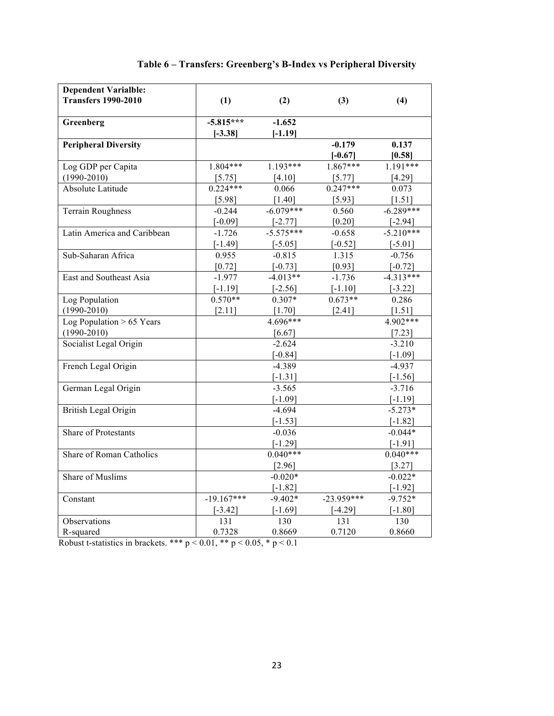| <b>Dependent Varialble:</b> |              |             |              |             |
|-----------------------------|--------------|-------------|--------------|-------------|
| <b>Transfers 1990-2010</b>  | (1)          | (2)         | (3)          | (4)         |
|                             |              |             |              |             |
| Greenberg                   | $-5.815***$  | $-1.652$    |              |             |
|                             | $[-3.38]$    | $[-1.19]$   |              |             |
| <b>Peripheral Diversity</b> |              |             | $-0.179$     | 0.137       |
|                             |              |             | $[-0.67]$    | [0.58]      |
| Log GDP per Capita          | $1.804***$   | $1.193***$  | $1.867***$   | $1.191***$  |
| $(1990 - 2010)$             | [5.75]       | 4.10        | [5.77]       | [4.29]      |
| Absolute Latitude           | $0.224***$   | 0.066       | $0.247***$   | 0.073       |
|                             | [5.98]       | [1.40]      | [5.93]       | [1.51]      |
| <b>Terrain Roughness</b>    | $-0.244$     | $-6.079***$ | 0.560        | $-6.289***$ |
|                             | $[-0.09]$    | $[-2.77]$   | [0.20]       | $[-2.94]$   |
| Latin America and Caribbean | $-1.726$     | $-5.575***$ | $-0.658$     | $-5.210***$ |
|                             | $[-1.49]$    | $[-5.05]$   | $[-0.52]$    | $[-5.01]$   |
| Sub-Saharan Africa          | 0.955        | $-0.815$    | 1.315        | $-0.756$    |
|                             | [0.72]       | $[-0.73]$   | [0.93]       | $[-0.72]$   |
| East and Southeast Asia     | $-1.977$     | $-4.013**$  | $-1.736$     | $-4.313***$ |
|                             | $[-1.19]$    | $[-2.56]$   | $[-1.10]$    | $[-3.22]$   |
| Log Population              | $0.570**$    | $0.307*$    | $0.673**$    | 0.286       |
| $(1990 - 2010)$             | [2.11]       | [1.70]      | [2.41]       | $[1.51]$    |
| Log Population $> 65$ Years |              | $4.696***$  |              | 4 902 ***   |
| $(1990 - 2010)$             |              | [6.67]      |              | [7.23]      |
| Socialist Legal Origin      |              | $-2.624$    |              | $-3.210$    |
|                             |              | $[-0.84]$   |              | $[-1.09]$   |
| French Legal Origin         |              | $-4.389$    |              | $-4.937$    |
|                             |              | $[-1.31]$   |              | $[-1.56]$   |
| German Legal Origin         |              | $-3.565$    |              | $-3.716$    |
|                             |              | $[-1.09]$   |              | $[-1.19]$   |
| <b>British Legal Origin</b> |              | $-4.694$    |              | $-5.273*$   |
|                             |              | $[-1.53]$   |              | $[-1.82]$   |
| Share of Protestants        |              | $-0.036$    |              | $-0.044*$   |
|                             |              | $[-1.29]$   |              | $[-1.91]$   |
| Share of Roman Catholics    |              | $0.040***$  |              | $0.040***$  |
|                             |              | [2.96]      |              | [3.27]      |
| Share of Muslims            |              | $-0.020*$   |              | $-0.022*$   |
|                             |              | $[-1.82]$   |              | $[-1.92]$   |
| Constant                    | $-19.167***$ | $-9.402*$   | $-23.959***$ | $-9.752*$   |
|                             | $[-3.42]$    | $[-1.69]$   | $[-4.29]$    | $[-1.80]$   |
| Observations                | 131          | 130         | 131          | 130         |
| R-squared                   | 0.7328       | 0.8669      | 0.7120       | 0.8660      |

## **Table 6 – Transfers: Greenberg's B-Index vs Peripheral Diversity**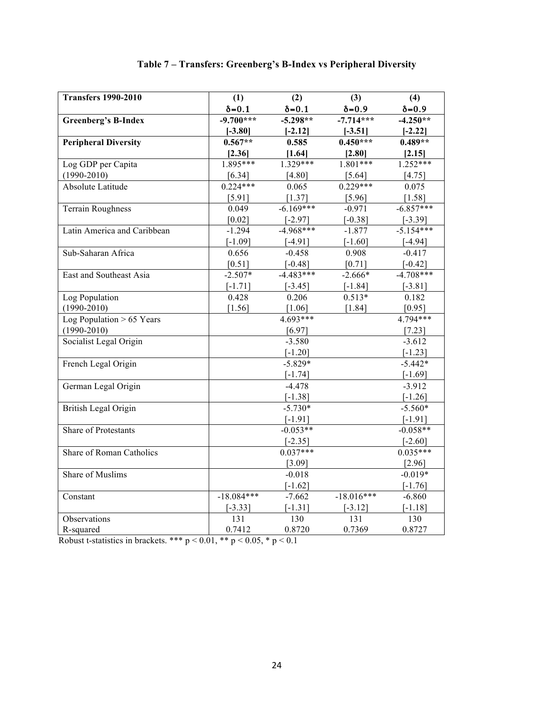| <b>Transfers 1990-2010</b>  | (1)            | (2)            | (3)            | (4)            |
|-----------------------------|----------------|----------------|----------------|----------------|
|                             | $\delta = 0.1$ | $\delta = 0.1$ | $\delta = 0.9$ | $\delta = 0.9$ |
| <b>Greenberg's B-Index</b>  | $-9.700***$    | $-5.298**$     | $-7.714***$    | $-4.250**$     |
|                             | $[-3.80]$      | $[-2.12]$      | $[-3.51]$      | $[-2.22]$      |
| <b>Peripheral Diversity</b> | $0.567**$      | 0.585          | $0.450***$     | $0.489**$      |
|                             | [2.36]         | [1.64]         | [2.80]         | [2.15]         |
| Log GDP per Capita          | 1.895***       | $1.329***$     | $1.801***$     | $1.252***$     |
| $(1990 - 2010)$             | [6.34]         | [4.80]         | [5.64]         | [4.75]         |
| <b>Absolute Latitude</b>    | $0.224***$     | 0.065          | $0.229***$     | 0.075          |
|                             | [5.91]         | [1.37]         | [5.96]         | [1.58]         |
| <b>Terrain Roughness</b>    | 0.049          | $-6.169***$    | $-0.971$       | $-6.857***$    |
|                             | [0.02]         | $[-2.97]$      | $[-0.38]$      | $[-3.39]$      |
| Latin America and Caribbean | $-1.294$       | $-4.968***$    | $-1.877$       | $-5.154***$    |
|                             | $[-1.09]$      | $[-4.91]$      | $[-1.60]$      | $[-4.94]$      |
| Sub-Saharan Africa          | 0.656          | $-0.458$       | 0.908          | $-0.417$       |
|                             | [0.51]         | $[-0.48]$      | [0.71]         | $[-0.42]$      |
| East and Southeast Asia     | $-2.507*$      | $-4.483***$    | $-2.666*$      | $-4.708***$    |
|                             | $[-1.71]$      | $[-3.45]$      | $[-1.84]$      | $[-3.81]$      |
| Log Population              | 0.428          | 0.206          | $0.513*$       | 0.182          |
| $(1990 - 2010)$             | [1.56]         | [1.06]         | [1.84]         | [0.95]         |
| Log Population $> 65$ Years |                | 4.693***       |                | $4.794***$     |
| $(1990 - 2010)$             |                | $[6.97]$       |                | [7.23]         |
| Socialist Legal Origin      |                | $-3.580$       |                | $-3.612$       |
|                             |                | $[-1.20]$      |                | $[-1.23]$      |
| French Legal Origin         |                | $-5.829*$      |                | $-5.442*$      |
|                             |                | $[-1.74]$      |                | $[-1.69]$      |
| German Legal Origin         |                | $-4.478$       |                | $-3.912$       |
|                             |                | $[-1.38]$      |                | $[-1.26]$      |
| <b>British Legal Origin</b> |                | $-5.730*$      |                | $-5.560*$      |
|                             |                | $[-1.91]$      |                | $[-1.91]$      |
| <b>Share of Protestants</b> |                | $-0.053**$     |                | $-0.058**$     |
|                             |                | $[-2.35]$      |                | $[-2.60]$      |
| Share of Roman Catholics    |                | $0.037***$     |                | $0.035***$     |
|                             |                | [3.09]         |                | [2.96]         |
| Share of Muslims            |                | $-0.018$       |                | $-0.019*$      |
|                             |                | $[-1.62]$      |                | $[-1.76]$      |
| Constant                    | $-18.084***$   | $-7.662$       | $-18.016***$   | $-6.860$       |
|                             | $[-3.33]$      | $[-1.31]$      | $[-3.12]$      | $[-1.18]$      |
| Observations                | 131            | 130            | 131            | 130            |
| R-squared                   | 0.7412         | 0.8720         | 0.7369         | 0.8727         |

## **Table 7 – Transfers: Greenberg's B-Index vs Peripheral Diversity**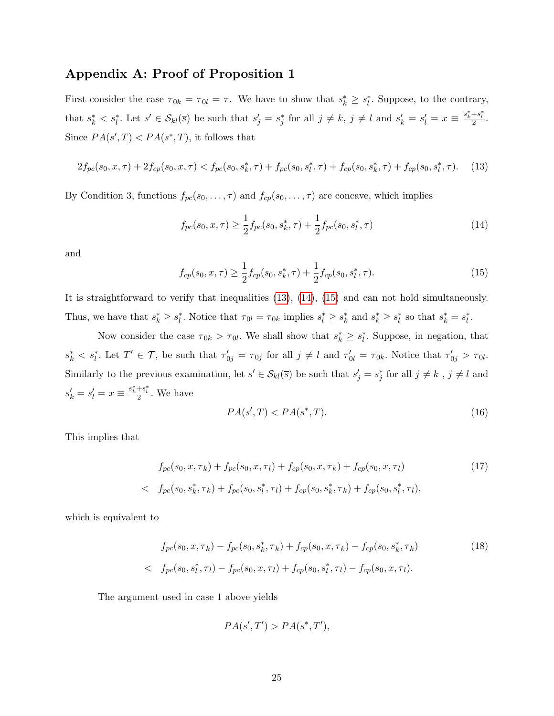## Appendix A: Proof of Proposition 1

First consider the case  $\tau_{0k} = \tau_{0l} = \tau$ . We have to show that  $s_k^* \geq s_l^*$ . Suppose, to the contrary, that  $s_k^* < s_l^*$ . Let  $s' \in S_{kl}(\overline{s})$  be such that  $s_j' = s_j^*$  for all  $j \neq k$ ,  $j \neq l$  and  $s_k' = s_l' = x \equiv \frac{s_k^* + s_l^*}{2}$ . Since  $PA(s',T) < PA(s^*,T)$ , it follows that

<span id="page-24-0"></span>
$$
2f_{pc}(s_0, x, \tau) + 2f_{cp}(s_0, x, \tau) < f_{pc}(s_0, s_k^*, \tau) + f_{pc}(s_0, s_l^*, \tau) + f_{cp}(s_0, s_k^*, \tau) + f_{cp}(s_0, s_l^*, \tau). \tag{13}
$$

By Condition 3, functions  $f_{pc}(s_0, \ldots, \tau)$  and  $f_{cp}(s_0, \ldots, \tau)$  are concave, which implies

<span id="page-24-1"></span>
$$
f_{pc}(s_0, x, \tau) \ge \frac{1}{2} f_{pc}(s_0, s_k^*, \tau) + \frac{1}{2} f_{pc}(s_0, s_l^*, \tau)
$$
\n(14)

and

<span id="page-24-2"></span>
$$
f_{cp}(s_0, x, \tau) \ge \frac{1}{2} f_{cp}(s_0, s_k^*, \tau) + \frac{1}{2} f_{cp}(s_0, s_l^*, \tau). \tag{15}
$$

It is straightforward to verify that inequalities [\(13\)](#page-24-0), [\(14\)](#page-24-1), [\(15\)](#page-24-2) and can not hold simultaneously. Thus, we have that  $s_k^* \geq s_l^*$ . Notice that  $\tau_{0l} = \tau_{0k}$  implies  $s_l^* \geq s_k^*$  and  $s_k^* \geq s_l^*$  so that  $s_k^* = s_l^*$ .

Now consider the case  $\tau_{0k} > \tau_{0l}$ . We shall show that  $s_k^* \geq s_l^*$ . Suppose, in negation, that  $s_k^* \leq s_l^*$ . Let  $T' \in \mathcal{T}$ , be such that  $\tau'_{0j} = \tau_{0j}$  for all  $j \neq l$  and  $\tau'_{0l} = \tau_{0k}$ . Notice that  $\tau'_{0j} > \tau_{0l}$ . Similarly to the previous examination, let  $s' \in S_{kl}(\overline{s})$  be such that  $s'_j = s_j^*$  for all  $j \neq k$ ,  $j \neq l$  and  $s'_k = s'_l = x \equiv \frac{s_k^* + s_l^*}{2}$ . We have

$$
PA(s',T) < PA(s^*,T). \tag{16}
$$

This implies that

$$
f_{pc}(s_0, x, \tau_k) + f_{pc}(s_0, x, \tau_l) + f_{cp}(s_0, x, \tau_k) + f_{cp}(s_0, x, \tau_l)
$$
\n
$$
\langle f_{pc}(s_0, s_k^*, \tau_k) + f_{pc}(s_0, s_l^*, \tau_l) + f_{cp}(s_0, s_k^*, \tau_k) + f_{cp}(s_0, s_l^*, \tau_l), \qquad (17)
$$

which is equivalent to

<span id="page-24-3"></span>
$$
f_{pc}(s_0, x, \tau_k) - f_{pc}(s_0, s_k^*, \tau_k) + f_{cp}(s_0, x, \tau_k) - f_{cp}(s_0, s_k^*, \tau_k)
$$
\n
$$
\langle f_{pc}(s_0, s_l^*, \tau_l) - f_{pc}(s_0, x, \tau_l) + f_{cp}(s_0, s_l^*, \tau_l) - f_{cp}(s_0, x, \tau_l).
$$
\n
$$
(18)
$$

The argument used in case 1 above yields

$$
PA(s',T') > PA(s^*,T'),
$$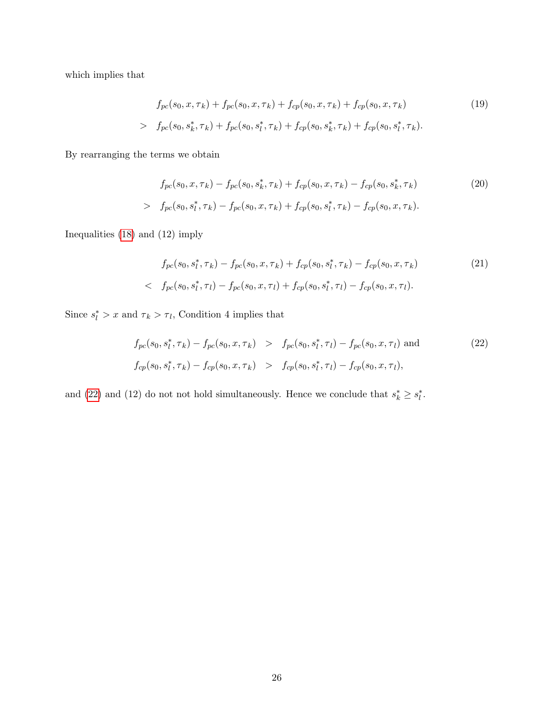which implies that

$$
f_{pc}(s_0, x, \tau_k) + f_{pc}(s_0, x, \tau_k) + f_{cp}(s_0, x, \tau_k) + f_{cp}(s_0, x, \tau_k)
$$
(19)  
> 
$$
f_{pc}(s_0, s_k^*, \tau_k) + f_{pc}(s_0, s_l^*, \tau_k) + f_{cp}(s_0, s_k^*, \tau_k) + f_{cp}(s_0, s_l^*, \tau_k).
$$

By rearranging the terms we obtain

$$
f_{pc}(s_0, x, \tau_k) - f_{pc}(s_0, s_k^*, \tau_k) + f_{cp}(s_0, x, \tau_k) - f_{cp}(s_0, s_k^*, \tau_k)
$$
  
> 
$$
f_{pc}(s_0, s_l^*, \tau_k) - f_{pc}(s_0, x, \tau_k) + f_{cp}(s_0, s_l^*, \tau_k) - f_{cp}(s_0, x, \tau_k).
$$
 (20)

Inequalities [\(18\)](#page-24-3) and (12) imply

$$
f_{pc}(s_0, s_l^*, \tau_k) - f_{pc}(s_0, x, \tau_k) + f_{cp}(s_0, s_l^*, \tau_k) - f_{cp}(s_0, x, \tau_k)
$$
  

$$
\langle f_{pc}(s_0, s_l^*, \tau_l) - f_{pc}(s_0, x, \tau_l) + f_{cp}(s_0, s_l^*, \tau_l) - f_{cp}(s_0, x, \tau_l).
$$
 (21)

Since  $s_l^* > x$  and  $\tau_k > \tau_l$ , Condition 4 implies that

<span id="page-25-0"></span>
$$
f_{pc}(s_0, s_l^*, \tau_k) - f_{pc}(s_0, x, \tau_k) > f_{pc}(s_0, s_l^*, \tau_l) - f_{pc}(s_0, x, \tau_l)
$$
 and (22)  

$$
f_{cp}(s_0, s_l^*, \tau_k) - f_{cp}(s_0, x, \tau_k) > f_{cp}(s_0, s_l^*, \tau_l) - f_{cp}(s_0, x, \tau_l),
$$

and [\(22\)](#page-25-0) and (12) do not not hold simultaneously. Hence we conclude that  $s_k^* \geq s_l^*$ .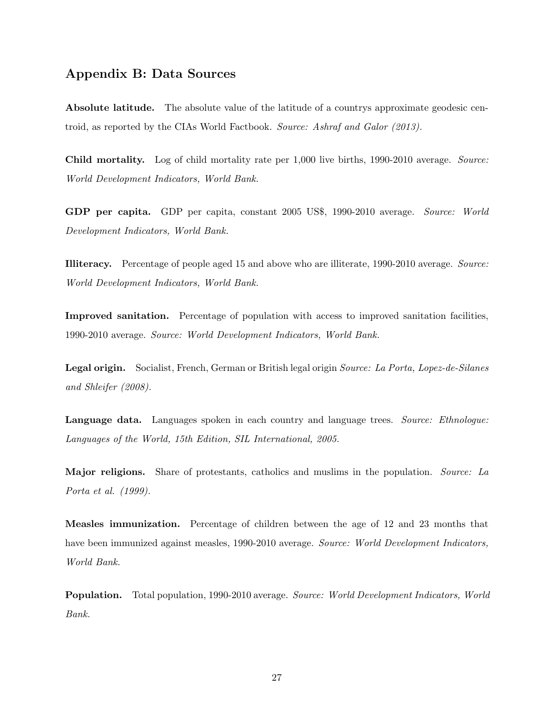## Appendix B: Data Sources

Absolute latitude. The absolute value of the latitude of a countrys approximate geodesic centroid, as reported by the CIAs World Factbook. Source: Ashraf and Galor (2013).

Child mortality. Log of child mortality rate per 1,000 live births, 1990-2010 average. Source: World Development Indicators, World Bank.

GDP per capita. GDP per capita, constant 2005 US\$, 1990-2010 average. Source: World Development Indicators, World Bank.

Illiteracy. Percentage of people aged 15 and above who are illiterate, 1990-2010 average. Source: World Development Indicators, World Bank.

Improved sanitation. Percentage of population with access to improved sanitation facilities, 1990-2010 average. Source: World Development Indicators, World Bank.

Legal origin. Socialist, French, German or British legal origin Source: La Porta, Lopez-de-Silanes and Shleifer (2008).

Language data. Languages spoken in each country and language trees. Source: Ethnologue: Languages of the World, 15th Edition, SIL International, 2005.

Major religions. Share of protestants, catholics and muslims in the population. Source: La Porta et al. (1999).

Measles immunization. Percentage of children between the age of 12 and 23 months that have been immunized against measles, 1990-2010 average. Source: World Development Indicators, World Bank.

Population. Total population, 1990-2010 average. Source: World Development Indicators, World Bank.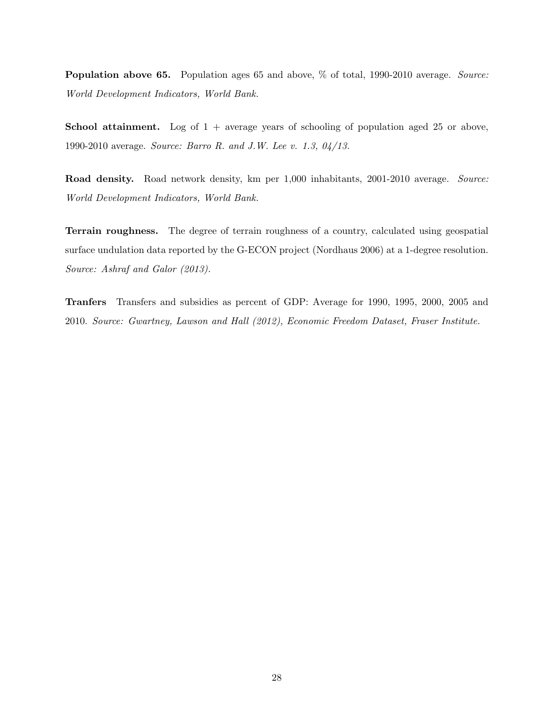Population above 65. Population ages 65 and above,  $\%$  of total, 1990-2010 average. Source: World Development Indicators, World Bank.

**School attainment.** Log of  $1 +$  average years of schooling of population aged 25 or above, 1990-2010 average. Source: Barro R. and J.W. Lee v. 1.3, 04/13.

Road density. Road network density, km per 1,000 inhabitants, 2001-2010 average. Source: World Development Indicators, World Bank.

Terrain roughness. The degree of terrain roughness of a country, calculated using geospatial surface undulation data reported by the G-ECON project (Nordhaus 2006) at a 1-degree resolution. Source: Ashraf and Galor (2013).

Tranfers Transfers and subsidies as percent of GDP: Average for 1990, 1995, 2000, 2005 and 2010. Source: Gwartney, Lawson and Hall (2012), Economic Freedom Dataset, Fraser Institute.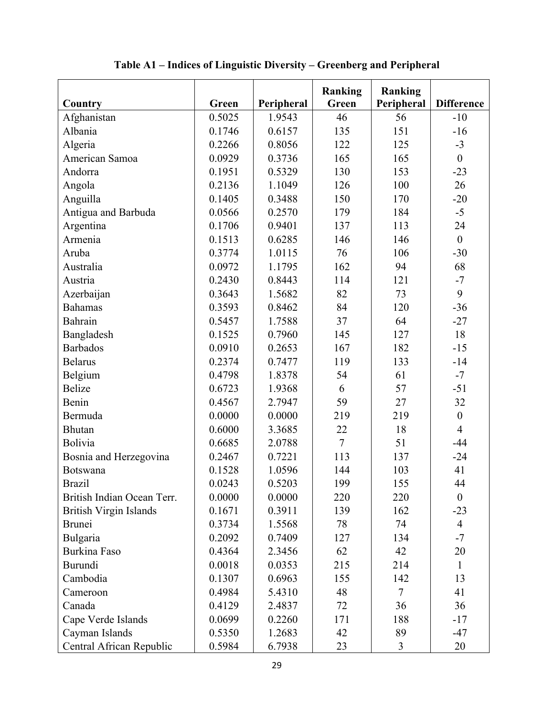|                               |        |            | Ranking        | Ranking    |                   |
|-------------------------------|--------|------------|----------------|------------|-------------------|
| Country                       | Green  | Peripheral | Green          | Peripheral | <b>Difference</b> |
| Afghanistan                   | 0.5025 | 1.9543     | 46             | 56         | $-10$             |
| Albania                       | 0.1746 | 0.6157     | 135            | 151        | $-16$             |
| Algeria                       | 0.2266 | 0.8056     | 122            | 125        | $-3$              |
| American Samoa                | 0.0929 | 0.3736     | 165            | 165        | $\boldsymbol{0}$  |
| Andorra                       | 0.1951 | 0.5329     | 130            | 153        | $-23$             |
| Angola                        | 0.2136 | 1.1049     | 126            | 100        | 26                |
| Anguilla                      | 0.1405 | 0.3488     | 150            | 170        | $-20$             |
| Antigua and Barbuda           | 0.0566 | 0.2570     | 179            | 184        | $-5$              |
| Argentina                     | 0.1706 | 0.9401     | 137            | 113        | 24                |
| Armenia                       | 0.1513 | 0.6285     | 146            | 146        | $\boldsymbol{0}$  |
| Aruba                         | 0.3774 | 1.0115     | 76             | 106        | $-30$             |
| Australia                     | 0.0972 | 1.1795     | 162            | 94         | 68                |
| Austria                       | 0.2430 | 0.8443     | 114            | 121        | $-7$              |
| Azerbaijan                    | 0.3643 | 1.5682     | 82             | 73         | 9                 |
| <b>Bahamas</b>                | 0.3593 | 0.8462     | 84             | 120        | $-36$             |
| Bahrain                       | 0.5457 | 1.7588     | 37             | 64         | $-27$             |
| Bangladesh                    | 0.1525 | 0.7960     | 145            | 127        | 18                |
| <b>Barbados</b>               | 0.0910 | 0.2653     | 167            | 182        | $-15$             |
| <b>Belarus</b>                | 0.2374 | 0.7477     | 119            | 133        | $-14$             |
| Belgium                       | 0.4798 | 1.8378     | 54             | 61         | $-7$              |
| <b>Belize</b>                 | 0.6723 | 1.9368     | 6              | 57         | $-51$             |
| Benin                         | 0.4567 | 2.7947     | 59             | 27         | 32                |
| Bermuda                       | 0.0000 | 0.0000     | 219            | 219        | $\boldsymbol{0}$  |
| <b>Bhutan</b>                 | 0.6000 | 3.3685     | 22             | 18         | $\overline{4}$    |
| <b>Bolivia</b>                | 0.6685 | 2.0788     | $\overline{7}$ | 51         | $-44$             |
| Bosnia and Herzegovina        | 0.2467 | 0.7221     | 113            | 137        | $-24$             |
| <b>Botswana</b>               | 0.1528 | 1.0596     | 144            | 103        | 41                |
| <b>Brazil</b>                 | 0.0243 | 0.5203     | 199            | 155        | 44                |
| British Indian Ocean Terr.    | 0.0000 | 0.0000     | 220            | 220        | $\boldsymbol{0}$  |
| <b>British Virgin Islands</b> | 0.1671 | 0.3911     | 139            | 162        | $-23$             |
| <b>Brunei</b>                 | 0.3734 | 1.5568     | 78             | 74         | $\overline{4}$    |
| Bulgaria                      | 0.2092 | 0.7409     | 127            | 134        | $-7$              |
| Burkina Faso                  | 0.4364 | 2.3456     | 62             | 42         | 20                |
| Burundi                       | 0.0018 | 0.0353     | 215            | 214        | $\mathbf{1}$      |
| Cambodia                      | 0.1307 | 0.6963     | 155            | 142        | 13                |
| Cameroon                      | 0.4984 | 5.4310     | 48             | 7          | 41                |
| Canada                        | 0.4129 | 2.4837     | 72             | 36         | 36                |
| Cape Verde Islands            | 0.0699 | 0.2260     | 171            | 188        | $-17$             |
| Cayman Islands                | 0.5350 | 1.2683     | 42             | 89         | -47               |
| Central African Republic      | 0.5984 | 6.7938     | 23             | 3          | 20                |

# **Table A1 – Indices of Linguistic Diversity – Greenberg and Peripheral**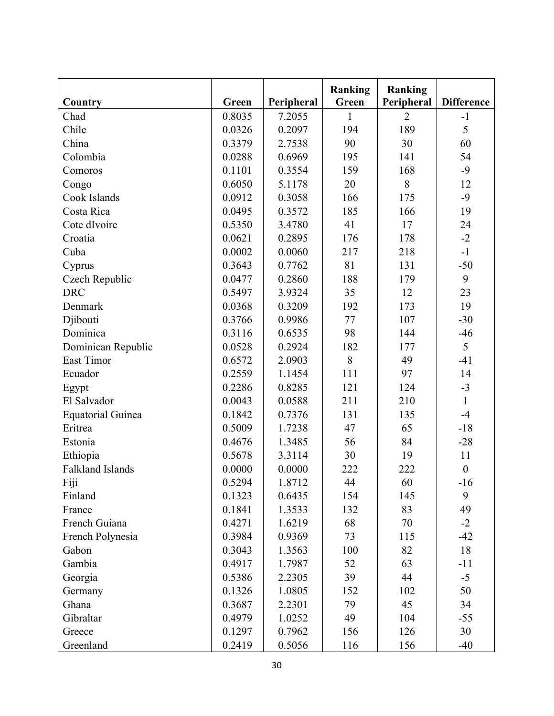|                          |        |            | <b>Ranking</b> | <b>Ranking</b> |                   |
|--------------------------|--------|------------|----------------|----------------|-------------------|
| Country                  | Green  | Peripheral | Green          | Peripheral     | <b>Difference</b> |
| Chad                     | 0.8035 | 7.2055     | $\mathbf{1}$   | $\overline{2}$ | $-1$              |
| Chile                    | 0.0326 | 0.2097     | 194            | 189            | 5                 |
| China                    | 0.3379 | 2.7538     | 90             | 30             | 60                |
| Colombia                 | 0.0288 | 0.6969     | 195            | 141            | 54                |
| Comoros                  | 0.1101 | 0.3554     | 159            | 168            | $-9$              |
| Congo                    | 0.6050 | 5.1178     | 20             | 8              | 12                |
| Cook Islands             | 0.0912 | 0.3058     | 166            | 175            | $-9$              |
| Costa Rica               | 0.0495 | 0.3572     | 185            | 166            | 19                |
| Cote dIvoire             | 0.5350 | 3.4780     | 41             | 17             | 24                |
| Croatia                  | 0.0621 | 0.2895     | 176            | 178            | $-2$              |
| Cuba                     | 0.0002 | 0.0060     | 217            | 218            | $-1$              |
| Cyprus                   | 0.3643 | 0.7762     | 81             | 131            | $-50$             |
| Czech Republic           | 0.0477 | 0.2860     | 188            | 179            | 9                 |
| <b>DRC</b>               | 0.5497 | 3.9324     | 35             | 12             | 23                |
| Denmark                  | 0.0368 | 0.3209     | 192            | 173            | 19                |
| Djibouti                 | 0.3766 | 0.9986     | 77             | 107            | $-30$             |
| Dominica                 | 0.3116 | 0.6535     | 98             | 144            | $-46$             |
| Dominican Republic       | 0.0528 | 0.2924     | 182            | 177            | 5                 |
| East Timor               | 0.6572 | 2.0903     | 8              | 49             | $-41$             |
| Ecuador                  | 0.2559 | 1.1454     | 111            | 97             | 14                |
| Egypt                    | 0.2286 | 0.8285     | 121            | 124            | $-3$              |
| El Salvador              | 0.0043 | 0.0588     | 211            | 210            | $\mathbf{1}$      |
| <b>Equatorial Guinea</b> | 0.1842 | 0.7376     | 131            | 135            | $-4$              |
| Eritrea                  | 0.5009 | 1.7238     | 47             | 65             | $-18$             |
| Estonia                  | 0.4676 | 1.3485     | 56             | 84             | $-28$             |
| Ethiopia                 | 0.5678 | 3.3114     | 30             | 19             | 11                |
| Falkland Islands         | 0.0000 | 0.0000     | 222            | 222            | $\boldsymbol{0}$  |
| Fiji                     | 0.5294 | 1.8712     | 44             | 60             | $-16$             |
| Finland                  | 0.1323 | 0.6435     | 154            | 145            | 9                 |
| France                   | 0.1841 | 1.3533     | 132            | 83             | 49                |
| French Guiana            | 0.4271 | 1.6219     | 68             | 70             | $-2$              |
| French Polynesia         | 0.3984 | 0.9369     | 73             | 115            | $-42$             |
| Gabon                    | 0.3043 | 1.3563     | 100            | 82             | 18                |
| Gambia                   | 0.4917 | 1.7987     | 52             | 63             | $-11$             |
| Georgia                  | 0.5386 | 2.2305     | 39             | 44             | $-5$              |
| Germany                  | 0.1326 | 1.0805     | 152            | 102            | 50                |
| Ghana                    | 0.3687 | 2.2301     | 79             | 45             | 34                |
| Gibraltar                | 0.4979 | 1.0252     | 49             | 104            | $-55$             |
| Greece                   | 0.1297 | 0.7962     | 156            | 126            | 30                |
| Greenland                | 0.2419 | 0.5056     | 116            | 156            | $-40$             |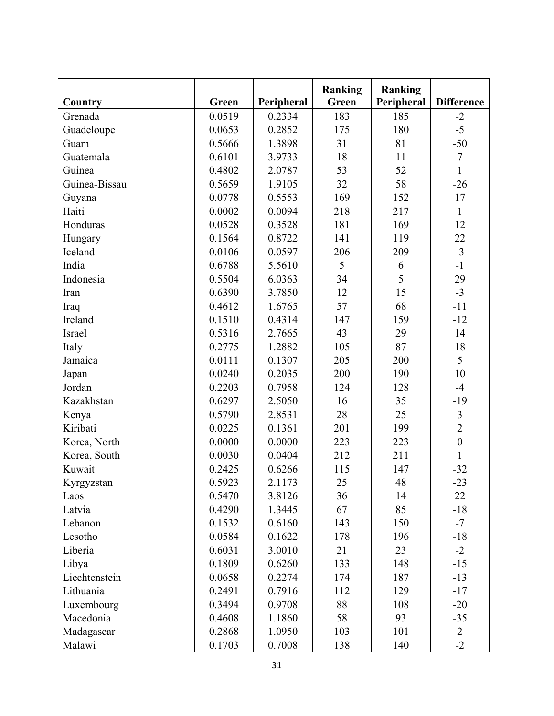|               |        |            | <b>Ranking</b> | <b>Ranking</b> |                   |
|---------------|--------|------------|----------------|----------------|-------------------|
| Country       | Green  | Peripheral | Green          | Peripheral     | <b>Difference</b> |
| Grenada       | 0.0519 | 0.2334     | 183            | 185            | $-2$              |
| Guadeloupe    | 0.0653 | 0.2852     | 175            | 180            | $-5$              |
| Guam          | 0.5666 | 1.3898     | 31             | 81             | $-50$             |
| Guatemala     | 0.6101 | 3.9733     | 18             | 11             | $\tau$            |
| Guinea        | 0.4802 | 2.0787     | 53             | 52             | $\mathbf{1}$      |
| Guinea-Bissau | 0.5659 | 1.9105     | 32             | 58             | $-26$             |
| Guyana        | 0.0778 | 0.5553     | 169            | 152            | 17                |
| Haiti         | 0.0002 | 0.0094     | 218            | 217            | $\mathbf{1}$      |
| Honduras      | 0.0528 | 0.3528     | 181            | 169            | 12                |
| Hungary       | 0.1564 | 0.8722     | 141            | 119            | 22                |
| Iceland       | 0.0106 | 0.0597     | 206            | 209            | $-3$              |
| India         | 0.6788 | 5.5610     | 5              | 6              | $-1$              |
| Indonesia     | 0.5504 | 6.0363     | 34             | 5              | 29                |
| Iran          | 0.6390 | 3.7850     | 12             | 15             | $-3$              |
| Iraq          | 0.4612 | 1.6765     | 57             | 68             | $-11$             |
| Ireland       | 0.1510 | 0.4314     | 147            | 159            | $-12$             |
| Israel        | 0.5316 | 2.7665     | 43             | 29             | 14                |
| Italy         | 0.2775 | 1.2882     | 105            | 87             | 18                |
| Jamaica       | 0.0111 | 0.1307     | 205            | 200            | 5                 |
| Japan         | 0.0240 | 0.2035     | 200            | 190            | 10                |
| Jordan        | 0.2203 | 0.7958     | 124            | 128            | $-4$              |
| Kazakhstan    | 0.6297 | 2.5050     | 16             | 35             | $-19$             |
| Kenya         | 0.5790 | 2.8531     | 28             | 25             | $\mathfrak{Z}$    |
| Kiribati      | 0.0225 | 0.1361     | 201            | 199            | $\overline{2}$    |
| Korea, North  | 0.0000 | 0.0000     | 223            | 223            | $\boldsymbol{0}$  |
| Korea, South  | 0.0030 | 0.0404     | 212            | 211            | $\mathbf{1}$      |
| Kuwait        | 0.2425 | 0.6266     | 115            | 147            | $-32$             |
| Kyrgyzstan    | 0.5923 | 2.1173     | 25             | 48             | $-23$             |
| Laos          | 0.5470 | 3.8126     | 36             | 14             | 22                |
| Latvia        | 0.4290 | 1.3445     | 67             | 85             | $-18$             |
| Lebanon       | 0.1532 | 0.6160     | 143            | 150            | $-7$              |
| Lesotho       | 0.0584 | 0.1622     | 178            | 196            | $-18$             |
| Liberia       | 0.6031 | 3.0010     | 21             | 23             | $-2$              |
| Libya         | 0.1809 | 0.6260     | 133            | 148            | $-15$             |
| Liechtenstein | 0.0658 | 0.2274     | 174            | 187            | $-13$             |
| Lithuania     | 0.2491 | 0.7916     | 112            | 129            | $-17$             |
| Luxembourg    | 0.3494 | 0.9708     | 88             | 108            | $-20$             |
| Macedonia     | 0.4608 | 1.1860     | 58             | 93             | $-35$             |
| Madagascar    | 0.2868 | 1.0950     | 103            | 101            | $\overline{2}$    |
| Malawi        | 0.1703 | 0.7008     | 138            | 140            | $-2$              |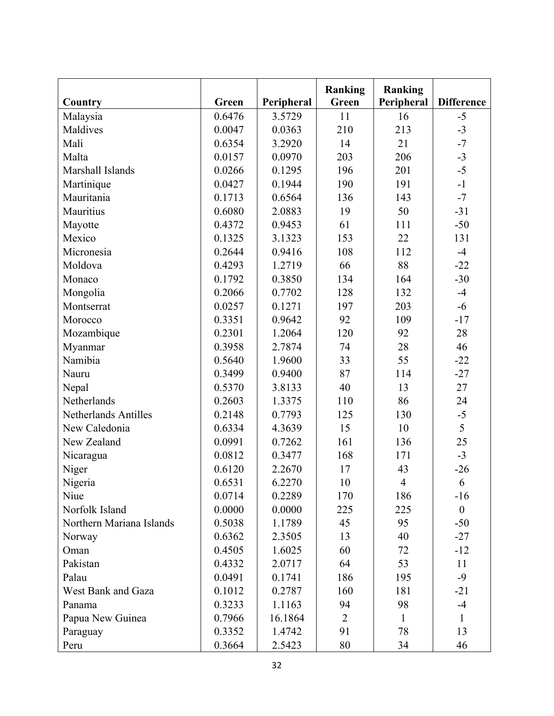|                             |        |            | <b>Ranking</b> | Ranking                  |                   |
|-----------------------------|--------|------------|----------------|--------------------------|-------------------|
| Country                     | Green  | Peripheral | Green          | Peripheral               | <b>Difference</b> |
| Malaysia                    | 0.6476 | 3.5729     | 11             | 16                       | $-5$              |
| Maldives                    | 0.0047 | 0.0363     | 210            | 213                      | $-3$              |
| Mali                        | 0.6354 | 3.2920     | 14             | 21                       | $-7$              |
| Malta                       | 0.0157 | 0.0970     | 203            | 206                      | $-3$              |
| Marshall Islands            | 0.0266 | 0.1295     | 196            | 201                      | $-5$              |
| Martinique                  | 0.0427 | 0.1944     | 190            | 191                      | $-1$              |
| Mauritania                  | 0.1713 | 0.6564     | 136            | 143                      | $-7$              |
| Mauritius                   | 0.6080 | 2.0883     | 19             | 50                       | $-31$             |
| Mayotte                     | 0.4372 | 0.9453     | 61             | 111                      | $-50$             |
| Mexico                      | 0.1325 | 3.1323     | 153            | 22                       | 131               |
| Micronesia                  | 0.2644 | 0.9416     | 108            | 112                      | $-4$              |
| Moldova                     | 0.4293 | 1.2719     | 66             | 88                       | $-22$             |
| Monaco                      | 0.1792 | 0.3850     | 134            | 164                      | $-30$             |
| Mongolia                    | 0.2066 | 0.7702     | 128            | 132                      | $-4$              |
| Montserrat                  | 0.0257 | 0.1271     | 197            | 203                      | $-6$              |
| Morocco                     | 0.3351 | 0.9642     | 92             | 109                      | $-17$             |
| Mozambique                  | 0.2301 | 1.2064     | 120            | 92                       | 28                |
| Myanmar                     | 0.3958 | 2.7874     | 74             | 28                       | 46                |
| Namibia                     | 0.5640 | 1.9600     | 33             | 55                       | $-22$             |
| Nauru                       | 0.3499 | 0.9400     | 87             | 114                      | $-27$             |
| Nepal                       | 0.5370 | 3.8133     | 40             | 13                       | 27                |
| Netherlands                 | 0.2603 | 1.3375     | 110            | 86                       | 24                |
| <b>Netherlands Antilles</b> | 0.2148 | 0.7793     | 125            | 130                      | $-5$              |
| New Caledonia               | 0.6334 | 4.3639     | 15             | 10                       | 5                 |
| New Zealand                 | 0.0991 | 0.7262     | 161            | 136                      | 25                |
| Nicaragua                   | 0.0812 | 0.3477     | 168            | 171                      | $-3$              |
| Niger                       | 0.6120 | 2.2670     | 17             | 43                       | $-26$             |
| Nigeria                     | 0.6531 | 6.2270     | 10             | $\overline{\mathcal{A}}$ | 6                 |
| Niue                        | 0.0714 | 0.2289     | 170            | 186                      | $-16$             |
| Norfolk Island              | 0.0000 | 0.0000     | 225            | 225                      | $\boldsymbol{0}$  |
| Northern Mariana Islands    | 0.5038 | 1.1789     | 45             | 95                       | $-50$             |
| Norway                      | 0.6362 | 2.3505     | 13             | 40                       | $-27$             |
| Oman                        | 0.4505 | 1.6025     | 60             | 72                       | $-12$             |
| Pakistan                    | 0.4332 | 2.0717     | 64             | 53                       | 11                |
| Palau                       | 0.0491 | 0.1741     | 186            | 195                      | $-9$              |
| West Bank and Gaza          | 0.1012 | 0.2787     | 160            | 181                      | $-21$             |
| Panama                      | 0.3233 | 1.1163     | 94             | 98                       | $-4$              |
| Papua New Guinea            | 0.7966 | 16.1864    | $\overline{2}$ | $\mathbf{1}$             | $\mathbf{1}$      |
| Paraguay                    | 0.3352 | 1.4742     | 91             | 78                       | 13                |
| Peru                        | 0.3664 | 2.5423     | 80             | 34                       | 46                |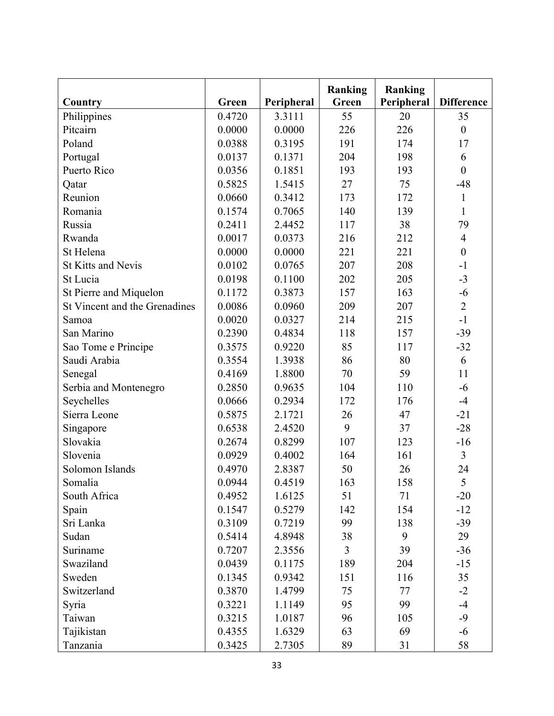|                               |        |            | Ranking | Ranking    |                   |
|-------------------------------|--------|------------|---------|------------|-------------------|
| Country                       | Green  | Peripheral | Green   | Peripheral | <b>Difference</b> |
| Philippines                   | 0.4720 | 3.3111     | 55      | 20         | 35                |
| Pitcairn                      | 0.0000 | 0.0000     | 226     | 226        | $\boldsymbol{0}$  |
| Poland                        | 0.0388 | 0.3195     | 191     | 174        | 17                |
| Portugal                      | 0.0137 | 0.1371     | 204     | 198        | 6                 |
| Puerto Rico                   | 0.0356 | 0.1851     | 193     | 193        | $\overline{0}$    |
| Qatar                         | 0.5825 | 1.5415     | 27      | 75         | $-48$             |
| Reunion                       | 0.0660 | 0.3412     | 173     | 172        | $\mathbf{1}$      |
| Romania                       | 0.1574 | 0.7065     | 140     | 139        | $\mathbf{1}$      |
| Russia                        | 0.2411 | 2.4452     | 117     | 38         | 79                |
| Rwanda                        | 0.0017 | 0.0373     | 216     | 212        | $\overline{4}$    |
| St Helena                     | 0.0000 | 0.0000     | 221     | 221        | $\boldsymbol{0}$  |
| <b>St Kitts and Nevis</b>     | 0.0102 | 0.0765     | 207     | 208        | $-1$              |
| St Lucia                      | 0.0198 | 0.1100     | 202     | 205        | $-3$              |
| St Pierre and Miquelon        | 0.1172 | 0.3873     | 157     | 163        | $-6$              |
| St Vincent and the Grenadines | 0.0086 | 0.0960     | 209     | 207        | $\overline{2}$    |
| Samoa                         | 0.0020 | 0.0327     | 214     | 215        | $-1$              |
| San Marino                    | 0.2390 | 0.4834     | 118     | 157        | $-39$             |
| Sao Tome e Principe           | 0.3575 | 0.9220     | 85      | 117        | $-32$             |
| Saudi Arabia                  | 0.3554 | 1.3938     | 86      | 80         | 6                 |
| Senegal                       | 0.4169 | 1.8800     | 70      | 59         | 11                |
| Serbia and Montenegro         | 0.2850 | 0.9635     | 104     | 110        | $-6$              |
| Seychelles                    | 0.0666 | 0.2934     | 172     | 176        | $-4$              |
| Sierra Leone                  | 0.5875 | 2.1721     | 26      | 47         | $-21$             |
| Singapore                     | 0.6538 | 2.4520     | 9       | 37         | $-28$             |
| Slovakia                      | 0.2674 | 0.8299     | 107     | 123        | $-16$             |
| Slovenia                      | 0.0929 | 0.4002     | 164     | 161        | $\overline{3}$    |
| Solomon Islands               | 0.4970 | 2.8387     | 50      | 26         | 24                |
| Somalia                       | 0.0944 | 0.4519     | 163     | 158        | 5                 |
| South Africa                  | 0.4952 | 1.6125     | 51      | 71         | $-20$             |
| Spain                         | 0.1547 | 0.5279     | 142     | 154        | $-12$             |
| Sri Lanka                     | 0.3109 | 0.7219     | 99      | 138        | $-39$             |
| Sudan                         | 0.5414 | 4.8948     | 38      | 9          | 29                |
| Suriname                      | 0.7207 | 2.3556     | 3       | 39         | $-36$             |
| Swaziland                     | 0.0439 | 0.1175     | 189     | 204        | $-15$             |
| Sweden                        | 0.1345 | 0.9342     | 151     | 116        | 35                |
| Switzerland                   | 0.3870 | 1.4799     | 75      | 77         | $-2$              |
| Syria                         | 0.3221 | 1.1149     | 95      | 99         | $-4$              |
| Taiwan                        | 0.3215 | 1.0187     | 96      | 105        | $-9$              |
| Tajikistan                    | 0.4355 | 1.6329     | 63      | 69         | $-6$              |
| Tanzania                      | 0.3425 | 2.7305     | 89      | 31         | 58                |